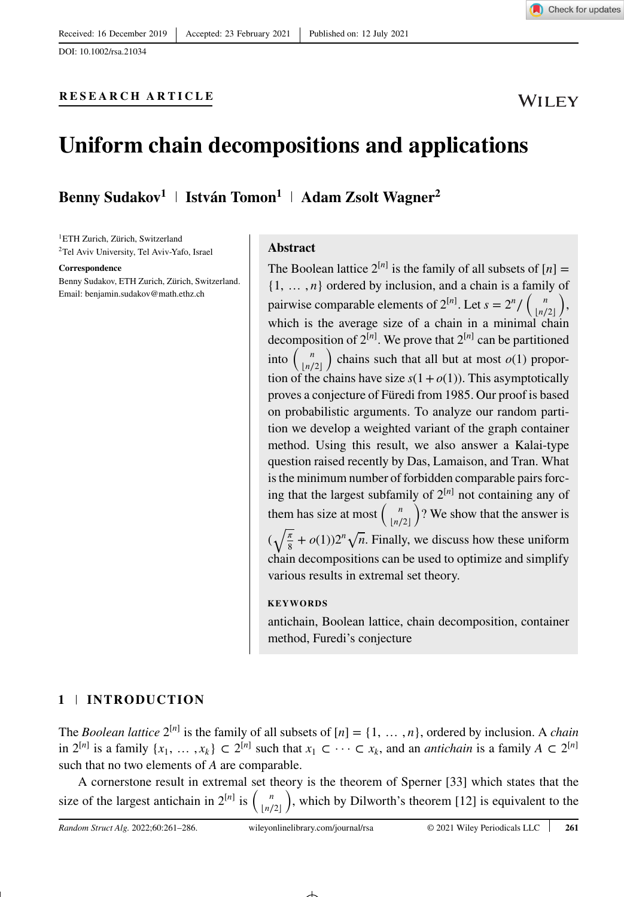DOI: 10.1002/rsa.21034

### **RESEARCH ARTICLE**



# **Uniform chain decompositions and applications**

**Benny Sudakov<sup>1</sup> István Tomon1 Adam Zsolt Wagner2**

1ETH Zurich, Zürich, Switzerland 2Tel Aviv University, Tel Aviv-Yafo, Israel

#### **Correspondence**

Benny Sudakov, ETH Zurich, Zürich, Switzerland. Email: benjamin.sudakov@math.ethz.ch

### **Abstract**

The Boolean lattice  $2^{[n]}$  is the family of all subsets of  $[n] =$ {1*,* … *, n*} ordered by inclusion, and a chain is a family of pairwise comparable elements of  $2^{[n]}$ . Let  $s = 2^n / \binom{n}{n}$ which is the average size of a chain in a minimal chain  $\setminus$ , decomposition of  $2^{[n]}$ . We prove that  $2^{[n]}$  can be partitioned into  $\binom{n}{x/2}$  chains such that all but at most  $o(1)$  proportion of the chains have size  $s(1+o(1))$ . This asymptotically proves a conjecture of Füredi from 1985. Our proof is based on probabilistic arguments. To analyze our random partition we develop a weighted variant of the graph container method. Using this result, we also answer a Kalai-type question raised recently by Das, Lamaison, and Tran. What is the minimum number of forbidden comparable pairs forcing that the largest subfamily of  $2^{[n]}$  not containing any of them has size at most  $\begin{pmatrix} n \\ \lfloor n/2 \rfloor \end{pmatrix}$ ) ? We show that the answer is  $(\sqrt{\frac{\pi}{8}} + o(1))2^n \sqrt{n}$ . Finally, we discuss how these uniform chain decompositions can be used to optimize and simplify various results in extremal set theory.

### **KEYWORDS**

antichain, Boolean lattice, chain decomposition, container method, Furedi's conjecture

### **1 INTRODUCTION**

The *Boolean lattice*  $2^{[n]}$  is the family of all subsets of  $[n] = \{1, \ldots, n\}$ , ordered by inclusion. A *chain* in  $2^{[n]}$  is a family  $\{x_1, \ldots, x_k\}$  ⊂  $2^{[n]}$  such that  $x_1$  ⊂ ··· ⊂  $x_k$ , and an *antichain* is a family  $A \subset 2^{[n]}$ such that no two elements of *A* are comparable.

A cornerstone result in extremal set theory is the theorem of Sperner [33] which states that the size of the largest antichain in  $2^{[n]}$  is  $\binom{n}{\lfloor n/2 \rfloor}$ ) , which by Dilworth's theorem [12] is equivalent to the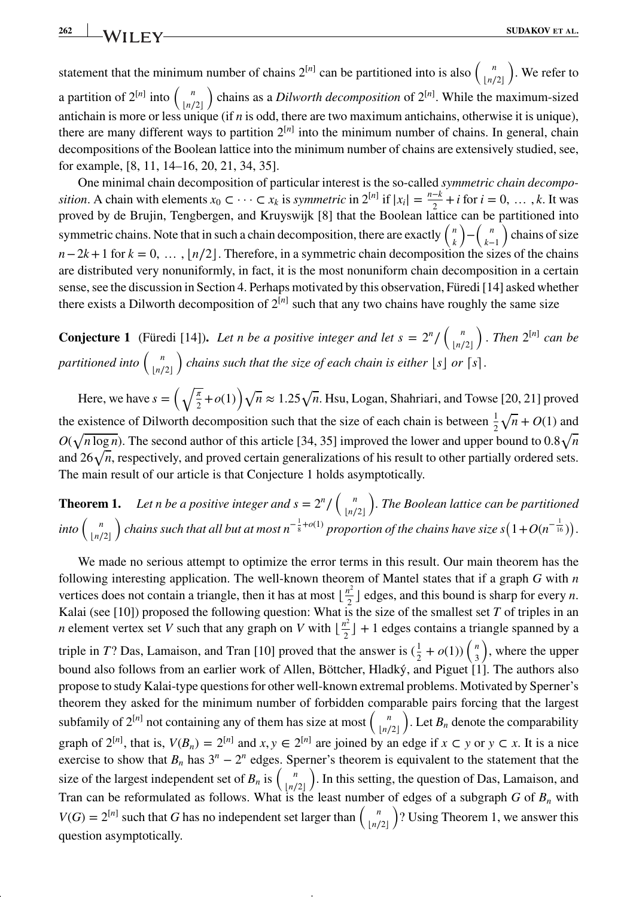**262 WII FV SUDAKOV ET AL.** 

statement that the minimum number of chains  $2^{[n]}$  can be partitioned into is also  $\binom{n}{\lfloor n/2 \rfloor}$ ) . We refer to a partition of  $2^{[n]}$  into  $\binom{n}{[n]}$  chains as a *Dilworth decomposition* of  $2^{[n]}$ . While the maximum-sized antichain is more or less unique (if *n* is odd, there are two maximum antichains, otherwise it is unique), antichain is more or less unique (if *n* is odd, there are two maximum antichains, otherwise it is unique), there are many different ways to partition  $2^{[n]}$  into the minimum number of chains. In general, chain decompositions of the Boolean lattice into the minimum number of chains are extensively studied, see, for example, [8, 11, 14–16, 20, 21, 34, 35].

One minimal chain decomposition of particular interest is the so-called *symmetric chain decomposition*. A chain with elements  $x_0 \subset \cdots \subset x_k$  is *symmetric* in  $2^{[n]}$  if  $|x_i| = \frac{n-k}{2} + i$  for  $i = 0, \ldots, k$ . It was proved by de Brujin, Tengbergen, and Kruyswijk [8] that the Boolean lattice can be partitioned into symmetric chains. Note that in such a chain decomposition, there are exactly  $\binom{n}{k}$  $\bigg) - \bigg( \frac{n}{k} \bigg)$ *k*−1 ) chains of size  $n-2k+1$  for  $k = 0, \ldots, \lfloor n/2 \rfloor$ . Therefore, in a symmetric chain decomposition the sizes of the chains are distributed very nonuniformly, in fact, it is the most nonuniform chain decomposition in a certain sense, see the discussion in Section 4. Perhaps motivated by this observation, Füredi [14] asked whether there exists a Dilworth decomposition of  $2^{[n]}$  such that any two chains have roughly the same size

**Conjecture 1** (Füredi [14]). Let n be a positive integer and let  $s = 2^n / \binom{n}{n}$  $\lfloor n/2 \rfloor$  $\int$ *. Then*  $2^{[n]}$  *can be partitioned into* ( *<sup>n</sup>* ⌊*n*∕2⌋ *f* chains such that the size of each chain is either  $\lfloor s \rfloor$  or  $\lceil s \rceil$ .

Here, we have  $s = \left(\sqrt{\frac{\pi}{2}} + o(1)\right) \sqrt{n} \approx 1.25 \sqrt{n}$ . Hsu, Logan, Shahriari, and Towse [20, 21] proved the existence of Dilworth decomposition such that the size of each chain is between  $\frac{1}{2}\sqrt{n} + O(1)$  and  $O(\sqrt{n \log n})$ . The second author of this article [34, 35] improved the lower and upper bound to  $0.8\sqrt{n}$ and 26√*n*, respectively, and proved certain generalizations of his result to other partially ordered sets. The main result of our article is that Conjecture 1 holds asymptotically.

**Theorem 1.** Let *n* be a positive integer and  $s = 2^n / \binom{n}{n}$  $\lfloor n/2 \rfloor$ ) *. The Boolean lattice can be partitioned*  $\int_{\lfloor n/2 \rfloor}^n$  $\int$  *chains such that all but at most n*<sup>− $\frac{1}{8}$ + $o(1)$  *proportion of the chains have size s*(1+*O*(*n*<sup>− $\frac{1}{16}$ )).</sup></sup>

We made no serious attempt to optimize the error terms in this result. Our main theorem has the following interesting application. The well-known theorem of Mantel states that if a graph *G* with *n* vertices does not contain a triangle, then it has at most  $\lfloor \frac{n^2}{2} \rfloor$  edges, and this bound is sharp for every *n*. Kalai (see [10]) proposed the following question: What is the size of the smallest set *T* of triples in an *n* element vertex set *V* such that any graph on *V* with  $\lfloor \frac{n^2}{2} \rfloor + 1$  edges contains a triangle spanned by a triple in *T*? Das, Lamaison, and Tran [10] proved that the answer is  $(\frac{1}{2} + o(1))$   $\binom{n}{3}$ ) , where the upper bound also follows from an earlier work of Allen, Böttcher, Hladký, and Piguet [1]. The authors also propose to study Kalai-type questions for other well-known extremal problems. Motivated by Sperner's theorem they asked for the minimum number of forbidden comparable pairs forcing that the largest subfamily of  $2^{[n]}$  not containing any of them has size at most  $\binom{n}{[n/2]}$ . Let  $B_n$  denote the comparability graph of  $2^{[n]}$ , that is,  $V(B_n) = 2^{[n]}$  and  $x, y \in 2^{[n]}$  are joined by an edge if  $x \subset y$  or  $y \subset x$ . It is a nice exercise to show that  $B_n$  has  $3^n - 2^n$  edges. Sperner's theorem is equivalent to the statement that the size of the largest independent set of  $B_n$  is  $\binom{n}{\lfloor n/2 \rfloor}$ ) . In this setting, the question of Das, Lamaison, and Tran can be reformulated as follows. What is the least number of edges of a subgraph *G* of  $B_n$  with  $V(G) = 2^{[n]}$  such that *G* has no independent set larger than  $\binom{n}{\lfloor n/2 \rfloor}$ ) ? Using Theorem 1, we answer this question asymptotically.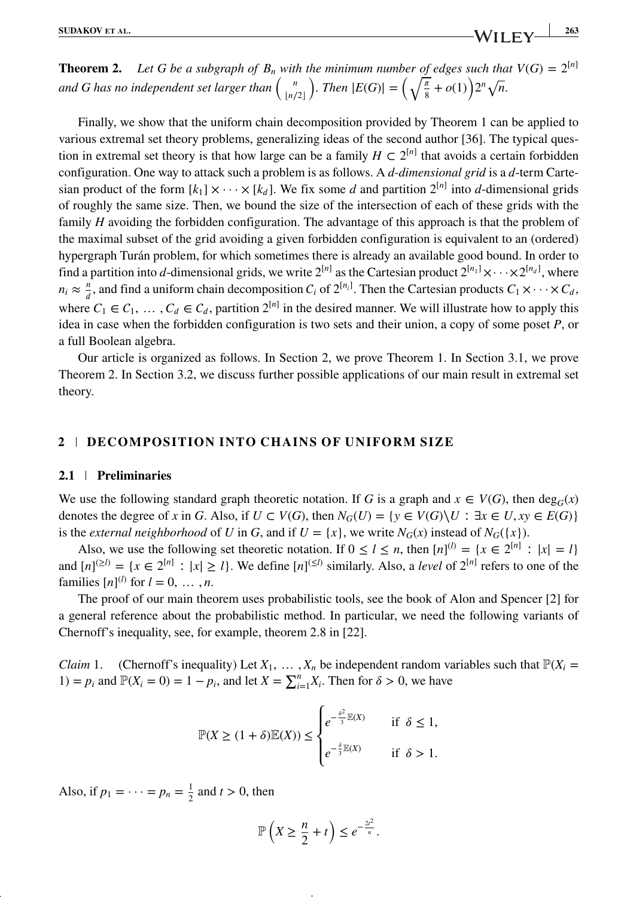**Theorem 2.** Let G be a subgraph of  $B_n$  with the minimum number of edges such that  $V(G) = 2^{[n]}$ *and G has no independent set larger than*  $\binom{n}{\lfloor n/2 \rfloor}$ *). Then*  $|E(G)| = \left(\sqrt{\frac{\pi}{8}} + o(1)\right)2^n \sqrt{n}$ .

Finally, we show that the uniform chain decomposition provided by Theorem 1 can be applied to various extremal set theory problems, generalizing ideas of the second author [36]. The typical question in extremal set theory is that how large can be a family  $H \subset 2^{[n]}$  that avoids a certain forbidden configuration. One way to attack such a problem is as follows. A *d-dimensional grid* is a *d*-term Cartesian product of the form  $[k_1] \times \cdots \times [k_d]$ . We fix some *d* and partition  $2^{[n]}$  into *d*-dimensional grids of roughly the same size. Then, we bound the size of the intersection of each of these grids with the family *H* avoiding the forbidden configuration. The advantage of this approach is that the problem of the maximal subset of the grid avoiding a given forbidden configuration is equivalent to an (ordered) hypergraph Turán problem, for which sometimes there is already an available good bound. In order to find a partition into *d*-dimensional grids, we write  $2^{[n]}$  as the Cartesian product  $2^{[n_1]}\times\cdots\times2^{[n_d]}$ , where  $n_i \approx \frac{n}{d}$ , and find a uniform chain decomposition  $C_i$  of  $2^{[n_i]}$ . Then the Cartesian products  $C_1 \times \cdots \times C_d$ , where  $C_1 \in C_1$ ,  $\ldots$ ,  $C_d \in C_d$ , partition  $2^{[n]}$  in the desired manner. We will illustrate how to apply this idea in case when the forbidden configuration is two sets and their union, a copy of some poset *P*, or a full Boolean algebra.

Our article is organized as follows. In Section 2, we prove Theorem 1. In Section 3.1, we prove Theorem 2. In Section 3.2, we discuss further possible applications of our main result in extremal set theory.

### **2 DECOMPOSITION INTO CHAINS OF UNIFORM SIZE**

### **2.1 Preliminaries**

We use the following standard graph theoretic notation. If *G* is a graph and  $x \in V(G)$ , then  $\deg_G(x)$ denotes the degree of *x* in *G*. Also, if  $U \subset V(G)$ , then  $N_G(U) = \{y \in V(G) \setminus U : \exists x \in U, xy \in E(G)\}\$ is the *external neighborhood* of *U* in *G*, and if  $U = \{x\}$ , we write  $N_G(x)$  instead of  $N_G(\{x\})$ .

Also, we use the following set theoretic notation. If  $0 \le l \le n$ , then  $[n]^{(l)} = \{x \in 2^{[n]} : |x| = l\}$ and  $[n]^{(\ge l)} = \{x \in 2^{[n]} : |x| \ge l\}$ . We define  $[n]^{(\le l)}$  similarly. Also, a *level* of  $2^{[n]}$  refers to one of the families  $[n]^{(l)}$  for  $l = 0, ..., n$ .

The proof of our main theorem uses probabilistic tools, see the book of Alon and Spencer [2] for a general reference about the probabilistic method. In particular, we need the following variants of Chernoff's inequality, see, for example, theorem 2.8 in [22].

*Claim* 1. (Chernoff's inequality) Let  $X_1, \ldots, X_n$  be independent random variables such that  $\mathbb{P}(X_i =$ 1) =  $p_i$  and  $\mathbb{P}(X_i = 0) = 1 - p_i$ , and let  $X = \sum_{i=1}^n X_i$ . Then for  $\delta > 0$ , we have

$$
\mathbb{P}(X \ge (1+\delta)\mathbb{E}(X)) \le \begin{cases} e^{-\frac{\delta^2}{3}\mathbb{E}(X)} & \text{if } \delta \le 1, \\ e^{-\frac{\delta}{3}\mathbb{E}(X)} & \text{if } \delta > 1. \end{cases}
$$

Also, if  $p_1 = \cdots = p_n = \frac{1}{2}$  and  $t > 0$ , then

$$
\mathbb{P}\left(X\geq \frac{n}{2}+t\right)\leq e^{-\frac{2t^2}{n}}.
$$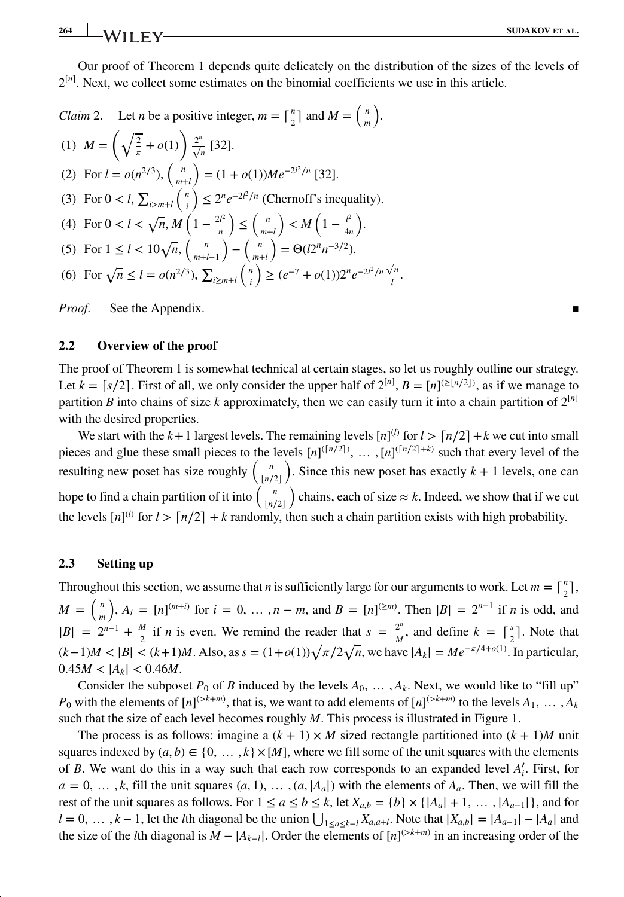Our proof of Theorem 1 depends quite delicately on the distribution of the sizes of the levels of  $2^{[n]}$ . Next, we collect some estimates on the binomial coefficients we use in this article.

Claim 2. Let *n* be a positive integer, 
$$
m = \lceil \frac{n}{2} \rceil
$$
 and  $M = \binom{n}{m}$ .  
\n(1)  $M = \left(\sqrt{\frac{2}{\pi}} + o(1)\right) \frac{2^n}{\sqrt{n}}$  [32].  
\n(2) For  $l = o(n^{2/3})$ ,  $\binom{n}{m+l} = (1 + o(1))Me^{-2l^2/n}$  [32].  
\n(3) For  $0 < l$ ,  $\sum_{i>m+l} \binom{n}{i} \le 2^n e^{-2l^2/n}$  (Chernoff's inequality).  
\n(4) For  $0 < l < \sqrt{n}$ ,  $M\left(1 - \frac{2l^2}{n}\right) \le \binom{n}{m+l} < M\left(1 - \frac{l^2}{4n}\right)$ .  
\n(5) For  $1 \le l < 10\sqrt{n}$ ,  $\binom{n}{m+l-1} - \binom{n}{m+l} = \Theta(l2^n n^{-3/2})$ .  
\n(6) For  $\sqrt{n} \le l = o(n^{2/3})$ ,  $\sum_{i \ge m+l} \binom{n}{i} \ge (e^{-7} + o(1))2^n e^{-2l^2/n} \frac{\sqrt{n}}{l}$ .

*Proof.* See the Appendix.

### **2.2 Overview of the proof**

The proof of Theorem 1 is somewhat technical at certain stages, so let us roughly outline our strategy. Let  $k = \lceil s/2 \rceil$ . First of all, we only consider the upper half of  $2^{\lceil n \rceil}$ ,  $B = \lceil n \rceil^{\lfloor \frac{n}{2} \rceil n/2 \rfloor}$ , as if we manage to partition *B* into chains of size *k* approximately, then we can easily turn it into a chain partition of  $2^{[n]}$ with the desired properties.

We start with the  $k+1$  largest levels. The remaining levels  $[n]^{(l)}$  for  $l > [n/2] + k$  we cut into small pieces and glue these small pieces to the levels  $[n]^{(\lceil n/2 \rceil)}, \ldots, \lceil n]^{(\lceil n/2 \rceil + k)}$  such that every level of the resulting new poset has size roughly  $\begin{pmatrix} n \\ \lfloor n/2 \rfloor \end{pmatrix}$ ). Since this new poset has exactly  $k + 1$  levels, one can hope to find a chain partition of it into  $\binom{n}{\lfloor n/2\rfloor}$ ) chains, each of size  $\approx k$ . Indeed, we show that if we cut the levels  $[n]^{(l)}$  for  $l > \lceil n/2 \rceil + k$  randomly, then such a chain partition exists with high probability.

### **2.3 Setting up**

Throughout this section, we assume that *n* is sufficiently large for our arguments to work. Let  $m = \lceil \frac{n}{2} \rceil$ , 2  $M = \left( \begin{array}{c} n \\ n \end{array} \right)$ *m* ),  $A_i = [n]^{(m+i)}$  for  $i = 0, ..., n - m$ , and  $B = [n]^{(≥m)}$ . Then  $|B| = 2^{n-1}$  if *n* is odd, and  $|B| = 2^{n-1} + \frac{M}{2}$  if *n* is even. We remind the reader that  $s = \frac{2^n}{M}$ , and define  $k = \lceil \frac{s}{2} \rceil$ . Note that  $(k-1)M < |B| < (k+1)M$ . Also, as  $s = (1+o(1))\sqrt{\pi/2}\sqrt{n}$ , we have  $|A_k| = Me^{-\pi/4+o(1)}$ . In particular,  $0.45M < |A_k| < 0.46M$ .

Consider the subposet  $P_0$  of *B* induced by the levels  $A_0$ ,  $\ldots$ ,  $A_k$ . Next, we would like to "fill up"  $P_0$  with the elements of  $[n]^{(>k+m)}$ , that is, we want to add elements of  $[n]^{(>k+m)}$  to the levels  $A_1, \ldots, A_k$ such that the size of each level becomes roughly *M*. This process is illustrated in Figure 1.

The process is as follows: imagine a  $(k + 1) \times M$  sized rectangle partitioned into  $(k + 1)M$  unit squares indexed by  $(a, b) \in \{0, \ldots, k\} \times [M]$ , where we fill some of the unit squares with the elements of *B*. We want do this in a way such that each row corresponds to an expanded level *A*′ *<sup>i</sup>*. First, for  $a = 0, \ldots, k$ , fill the unit squares  $(a, 1), \ldots, (a, |A_a|)$  with the elements of  $A_a$ . Then, we will fill the rest of the unit squares as follows. For  $1 \le a \le b \le k$ , let  $X_{a,b} = \{b\} \times \{|A_a| + 1, \ldots, |A_{a-1}|\}$ , and for  $l = 0, ..., k - 1$ , let the *l*th diagonal be the union  $\bigcup_{1 \le a \le k-l} X_{a,a+l}$ . Note that  $|X_{a,b}| = |A_{a-1}| - |A_a|$  and the size of the *l*th diagonal is  $M - |A_{k-1}|$ . Order the elements of  $[n]^{(>k+m)}$  in an increasing order of the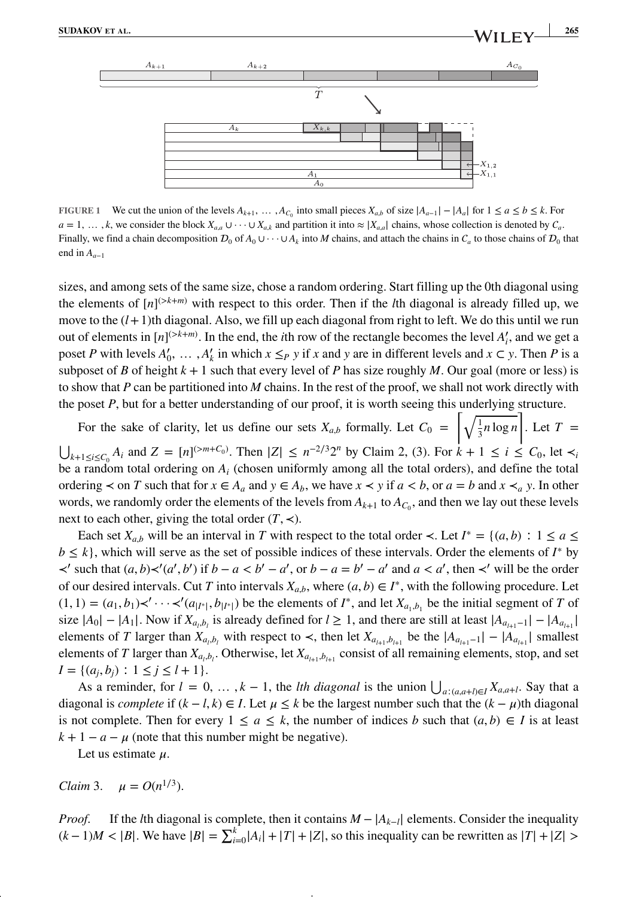

**FIGURE 1** We cut the union of the levels  $A_{k+1}$ , …,  $A_{C_0}$  into small pieces  $X_{a,b}$  of size  $|A_{a-1}| - |A_a|$  for  $1 \le a \le b \le k$ . For  $a = 1, \ldots, k$ , we consider the block  $X_{a,a} \cup \cdots \cup X_{a,k}$  and partition it into  $\approx |X_{a,a}|$  chains, whose collection is denoted by  $C_a$ . Finally, we find a chain decomposition  $D_0$  of  $A_0 \cup \cdots \cup A_k$  into *M* chains, and attach the chains in  $C_a$  to those chains of  $D_0$  that end in  $A_{a-1}$ 

sizes, and among sets of the same size, chose a random ordering. Start filling up the 0th diagonal using the elements of  $[n]^{(>k+m)}$  with respect to this order. Then if the *l*th diagonal is already filled up, we move to the  $(l+1)$ th diagonal. Also, we fill up each diagonal from right to left. We do this until we run out of elements in  $[n]^{(>k+m)}$ . In the end, the *i*th row of the rectangle becomes the level  $A'_i$ , and we get a poset *P* with levels  $A'_0$ , ...,  $A'_k$  in which  $x \leq_P y$  if  $x$  and  $y$  are in different levels and  $x \in y$ . Then *P* is a subposet of *B* of height  $k + 1$  such that every level of *P* has size roughly *M*. Our goal (more or less) is to show that *P* can be partitioned into *M* chains. In the rest of the proof, we shall not work directly with the poset *P*, but for a better understanding of our proof, it is worth seeing this underlying structure.

For the sake of clarity, let us define our sets  $X_{a,b}$  formally. Let  $C_0 = \left[\sqrt{\frac{1}{3}}\right]$  $\frac{1}{3}n \log n$ l. . Let  $T =$  $\bigcup_{k+1 \le i \le C_0} A_i$  and  $Z = [n]^{(>m+C_0)}$ . Then  $|Z| \le n^{-2/3}2^n$  by Claim 2, (3). For  $k+1 \le i \le C_0$ , let  $\prec_i$ be a random total ordering on *Ai* (chosen uniformly among all the total orders), and define the total ordering  $\prec$  on T such that for  $x \in A_a$  and  $y \in A_b$ , we have  $x \prec y$  if  $a \prec b$ , or  $a = b$  and  $x \prec_a y$ . In other words, we randomly order the elements of the levels from  $A_{k+1}$  to  $A_{C_0}$ , and then we lay out these levels next to each other, giving the total order  $(T, \prec)$ .

Each set  $X_{a,b}$  will be an interval in *T* with respect to the total order  $\prec$ . Let  $I^* = \{(a,b) : 1 \le a \le b\}$ *b* ≤ *k*}, which will serve as the set of possible indices of these intervals. Order the elements of *I*<sup>∗</sup> by  $\prec'$  such that  $(a, b) \prec' (a', b')$  if  $b - a < b' - a'$ , or  $b - a = b' - a'$  and  $a < a'$ , then  $\prec'$  will be the order of our desired intervals. Cut *T* into intervals  $X_{a,b}$ , where  $(a, b) \in I^*$ , with the following procedure. Let  $(1, 1) = (a_1, b_1) \times' \cdots \times' (a_{|I^*|}, b_{|I^*|})$  be the elements of  $I^*$ , and let  $X_{a_1, b_1}$  be the initial segment of *T* of size  $|A_0| - |A_1|$ . Now if  $X_{a_i,b_j}$  is already defined for  $l \geq 1$ , and there are still at least  $|A_{a_{i+1}-1}| - |A_{a_{i+1}}|$ elements of *T* larger than  $X_{a_i,b_i}$  with respect to  $\prec$ , then let  $X_{a_{i+1},b_{i+1}}$  be the  $|A_{a_{i+1}-1}| - |A_{a_{i+1}}|$  smallest elements of *T* larger than  $X_{a_i, b_i}$ . Otherwise, let  $X_{a_{i+1}, b_{i+1}}$  consist of all remaining elements, stop, and set *I* = { $(a<sub>i</sub>, b<sub>i</sub>)$  ∶ 1 ≤ *j* ≤ *l* + 1}.

As a reminder, for  $l = 0, \ldots, k - 1$ , the *lth diagonal* is the union  $\bigcup_{a:(a,a+l)\in I} X_{a,a+l}$ . Say that a diagonal is *complete* if  $(k - l, k) \in I$ . Let  $\mu \leq k$  be the largest number such that the  $(k - \mu)$ th diagonal is not complete. Then for every  $1 \le a \le k$ , the number of indices *b* such that  $(a, b) \in I$  is at least  $k + 1 - a - \mu$  (note that this number might be negative).

Let us estimate  $\mu$ .

*Claim* 3.  $u = O(n^{1/3})$ .

*Proof.* If the *l*th diagonal is complete, then it contains  $M - |A_{k-1}|$  elements. Consider the inequality  $(k-1)M < |B|$ . We have  $|B| = \sum_{i=0}^{k} |A_i| + |T| + |Z|$ , so this inequality can be rewritten as  $|T| + |Z| >$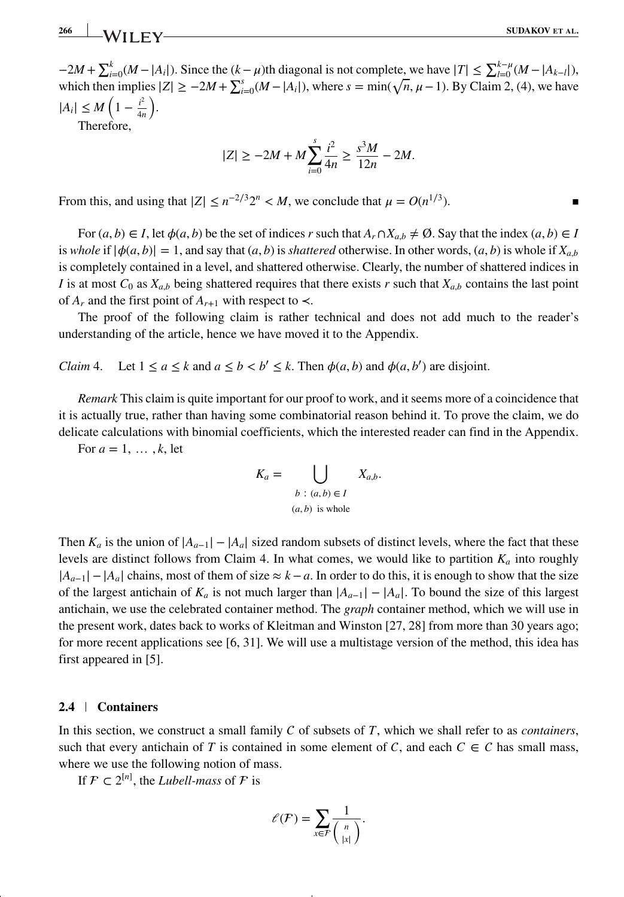$-2M + \sum_{i=0}^{k} (M - |A_i|)$ . Since the  $(k - \mu)$ th diagonal is not complete, we have  $|T| \le \sum_{i=0}^{k-\mu} (M - |A_{k-i}|)$ , which then implies  $|Z| \ge -2M + \sum_{i=0}^{s} (M - |A_i|)$ , where  $s = \min(\sqrt{n}, \mu - 1)$ . By Claim 2, (4), we have  $|A_i| \le M \left(1 - \frac{i^2}{4n}\right)$ 4*n* ) .

Therefore,

$$
|Z| \ge -2M + M \sum_{i=0}^{s} \frac{i^2}{4n} \ge \frac{s^3 M}{12n} - 2M.
$$

From this, and using that  $|Z| \leq n^{-2/3}2^n < M$ , we conclude that  $\mu = O(n^{1/3})$ .

For  $(a, b) \in I$ , let  $\phi(a, b)$  be the set of indices *r* such that  $A_r \cap X_{a,b} \neq \emptyset$ . Say that the index  $(a, b) \in I$ is *whole* if  $|\phi(a, b)| = 1$ , and say that  $(a, b)$  is *shattered* otherwise. In other words,  $(a, b)$  is whole if  $X_{a,b}$ is completely contained in a level, and shattered otherwise. Clearly, the number of shattered indices in *I* is at most  $C_0$  as  $X_{a,b}$  being shattered requires that there exists *r* such that  $X_{a,b}$  contains the last point of  $A_r$  and the first point of  $A_{r+1}$  with respect to  $\prec$ .

The proof of the following claim is rather technical and does not add much to the reader's understanding of the article, hence we have moved it to the Appendix.

*Claim* 4. Let  $1 \le a \le k$  and  $a \le b < b' \le k$ . Then  $\phi(a, b)$  and  $\phi(a, b')$  are disjoint.

*Remark* This claim is quite important for our proof to work, and it seems more of a coincidence that it is actually true, rather than having some combinatorial reason behind it. To prove the claim, we do delicate calculations with binomial coefficients, which the interested reader can find in the Appendix.

For  $a = 1, \ldots, k$ , let

$$
K_a = \bigcup_{\begin{array}{c} b : (a, b) \in I \\ (a, b) \text{ is whole} \end{array}} X_{a,b}.
$$

Then  $K_a$  is the union of  $|A_{a-1}| - |A_a|$  sized random subsets of distinct levels, where the fact that these levels are distinct follows from Claim 4. In what comes, we would like to partition  $K_a$  into roughly  $|A_{a-1}| - |A_a|$  chains, most of them of size  $\approx k - a$ . In order to do this, it is enough to show that the size of the largest antichain of  $K_a$  is not much larger than  $|A_{a-1}| - |A_a|$ . To bound the size of this largest antichain, we use the celebrated container method. The *graph* container method, which we will use in the present work, dates back to works of Kleitman and Winston [27, 28] from more than 30 years ago; for more recent applications see [6, 31]. We will use a multistage version of the method, this idea has first appeared in [5].

### **2.4 Containers**

In this section, we construct a small family  $C$  of subsets of  $T$ , which we shall refer to as *containers*, such that every antichain of *T* is contained in some element of *C*, and each  $C \in C$  has small mass, where we use the following notion of mass.

If  $\mathcal{F} \subset 2^{[n]}$ , the *Lubell-mass* of  $\mathcal F$  is

$$
\ell(F) = \sum_{x \in F} \frac{1}{\binom{n}{|x|}}.
$$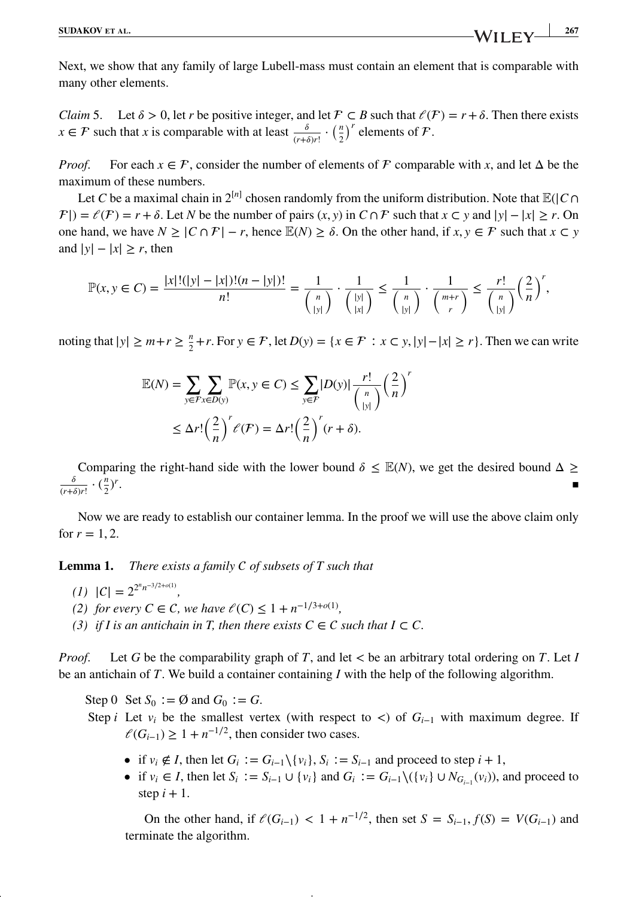Next, we show that any family of large Lubell-mass must contain an element that is comparable with many other elements.

*Claim* 5. Let  $\delta > 0$ , let *r* be positive integer, and let  $\mathcal{F} \subset B$  such that  $\ell(\mathcal{F}) = r + \delta$ . Then there exists *x* ∈ *F* such that *x* is comparable with at least  $\frac{\delta}{(r+\delta)r!} \cdot \left(\frac{n}{2}\right)^r$  elements of *F*.

*Proof.* For each  $x \in \mathcal{F}$ , consider the number of elements of  $\mathcal F$  comparable with *x*, and let  $\Delta$  be the maximum of these numbers.

Let *C* be a maximal chain in  $2^{[n]}$  chosen randomly from the uniform distribution. Note that  $\mathbb{E}(|C \cap C|)$  $|\mathcal{F}| = \ell(\mathcal{F}) = r + \delta$ . Let N be the number of pairs  $(x, y)$  in  $C \cap \mathcal{F}$  such that  $x \subset y$  and  $|y| - |x| \ge r$ . On one hand, we have  $N \geq |C \cap F| - r$ , hence  $\mathbb{E}(N) \geq \delta$ . On the other hand, if  $x, y \in F$  such that  $x \subset y$ and  $|y| - |x| \ge r$ , then

$$
\mathbb{P}(x, y \in C) = \frac{|x|!(|y| - |x|)!(n - |y|)!}{n!} = \frac{1}{\binom{n}{|y|}} \cdot \frac{1}{\binom{|y|}{|x|}} \le \frac{1}{\binom{n}{|y|}} \cdot \frac{1}{\binom{m+r}{r}} \le \frac{r!}{\binom{n}{|y|}} \left(\frac{2}{n}\right)^r,
$$

noting that  $|y| \ge m + r \ge \frac{n}{2} + r$ . For  $y \in \mathcal{F}$ , let  $D(y) = \{x \in \mathcal{F} : x \subset y, |y| - |x| \ge r\}$ . Then we can write

$$
\mathbb{E}(N) = \sum_{y \in \mathcal{F}} \sum_{x \in D(y)} \mathbb{P}(x, y \in C) \le \sum_{y \in \mathcal{F}} |D(y)| \frac{r!}{\binom{n}{|y|}} \left(\frac{2}{n}\right)^r
$$
  

$$
\le \Delta r! \left(\frac{2}{n}\right)^r \ell(\mathcal{F}) = \Delta r! \left(\frac{2}{n}\right)^r (r+\delta).
$$

Comparing the right-hand side with the lower bound  $\delta \leq \mathbb{E}(N)$ , we get the desired bound  $\Delta \geq$  $\frac{\delta}{(r+\delta)r!} \cdot (\frac{n}{2})$  $\frac{n}{2}$ <sup>r</sup> . The contract of the contract of the contract of the contract of the contract of the contract of the contract of the contract of the contract of the contract of the contract of the contract of the contract of the contrac

Now we are ready to establish our container lemma. In the proof we will use the above claim only for  $r = 1, 2$ .

**Lemma 1.** *There exists a family of subsets of T such that*

- $|C| = 2^{2^n n^{-3/2+o(1)}},$
- *(2) for every C* ∈ *C*, *we have*  $\ell$  *(C)* ≤ 1 + *n*<sup>-1/3+*o*(1)</sup>,
- *(3) if I is an antichain in T, then there exists*  $C \in \mathcal{C}$  *such that I* ⊂  $C$ .

*Proof.* Let *G* be the comparability graph of *T*, and let *<* be an arbitrary total ordering on *T*. Let *I* be an antichain of *T*. We build a container containing *I* with the help of the following algorithm.

Step 0 Set  $S_0 := \emptyset$  and  $G_0 := G$ .

- Step *i* Let  $v_i$  be the smallest vertex (with respect to <) of  $G_{i-1}$  with maximum degree. If  $\ell(G_{i-1}) \geq 1 + n^{-1/2}$ , then consider two cases.
	- if  $v_i \notin I$ , then let  $G_i := G_{i-1} \setminus \{v_i\}$ ,  $S_i := S_{i-1}$  and proceed to step  $i + 1$ ,
	- if  $v_i \in I$ , then let  $S_i := S_{i-1} \cup \{v_i\}$  and  $G_i := G_{i-1} \setminus (\{v_i\} \cup N_{G_{i-1}}(v_i))$ , and proceed to step  $i + 1$ .

On the other hand, if  $\ell(G_{i-1}) < 1 + n^{-1/2}$ , then set *S* = *S<sub>i−1</sub>*,  $f(S) = V(G_{i-1})$  and terminate the algorithm.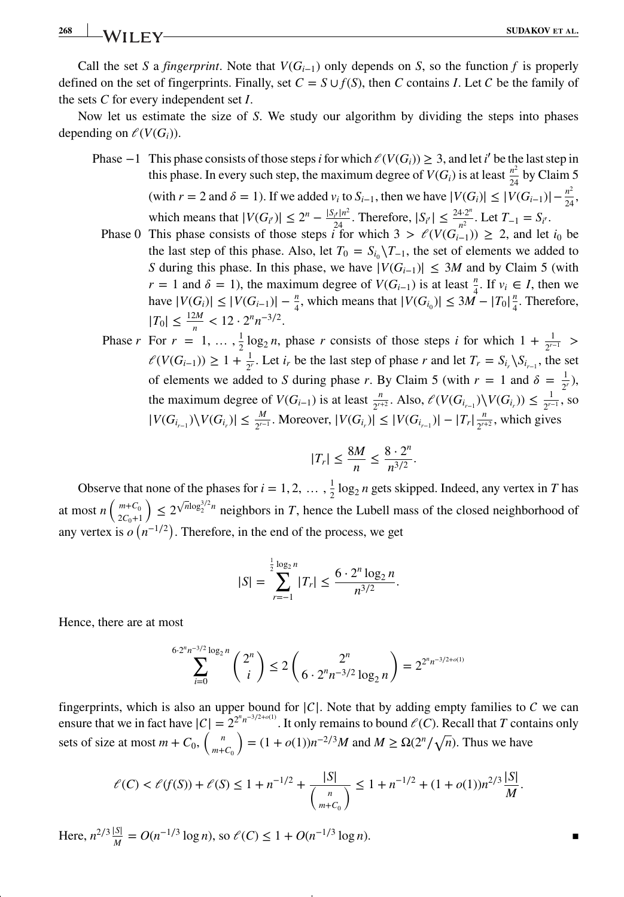### **268 SUDAKOV ET AL.**<br>**SUDAKOV ET AL.**

Call the set *S* a *fingerprint*. Note that  $V(G_{i-1})$  only depends on *S*, so the function *f* is properly defined on the set of fingerprints. Finally, set  $C = S \cup f(S)$ , then *C* contains *I*. Let *C* be the family of the sets *C* for every independent set *I*.

Now let us estimate the size of *S*. We study our algorithm by dividing the steps into phases depending on  $\ell(V(G_i))$ .

- Phase  $-1$  This phase consists of those steps *i* for which  $\ell(V(G_i)) \geq 3$ , and let *i*' be the last step in this phase. In every such step, the maximum degree of  $V(G_i)$  is at least  $\frac{n^2}{24}$  by Claim 5  $(\text{with } r = 2 \text{ and } \delta = 1).$  If we added  $v_i$  to  $S_{i-1}$ , then we have  $|V(G_i)| \leq |V(G_{i-1})| - \frac{n^2}{24}$ , which means that  $|V(G_i')| \le 2^n - \frac{|S_i/n^2}{24}$ . Therefore,  $|S_i| \le \frac{24 \cdot 2^n}{n^2}$ . Let  $T_{-1} = S_{i'}$ .
	- Phase 0 This phase consists of those steps  $\hat{i}$  for which  $3 > \ell(V(G_{i-1})) \geq 2$ , and let  $i_0$  be the last step of this phase. Also, let  $T_0 = S_{i_0} \setminus T_{-1}$ , the set of elements we added to *S* during this phase. In this phase, we have  $|V(G_{i-1})| \leq 3M$  and by Claim 5 (with *r* = 1 and  $\delta$  = 1), the maximum degree of *V*(*G<sub>i−1</sub>*) is at least  $\frac{n}{4}$ . If  $v_i \in I$ , then we have  $|V(G_i)| \leq |V(G_{i-1})| - \frac{n}{4}$ , which means that  $|V(G_{i_0})| \leq 3M - |T_0| \frac{n}{4}$  $\frac{n}{4}$ . Therefore,  $|T_0| \leq \frac{12M}{n} < 12 \cdot 2^n n^{-3/2}.$

Phase *r* For  $r = 1, \ldots, \frac{1}{2} \log_2 n$ , phase *r* consists of those steps *i* for which  $1 + \frac{1}{2^{r-1}} >$  $\ell(V(G_{i-1}))$  ≥ 1 +  $\frac{1}{2^r}$ . Let  $i_r$  be the last step of phase *r* and let  $T_r = S_{i_r} \setminus S_{i_{r-1}}$ , the set of elements we added to *S* during phase *r*. By Claim 5 (with  $r = 1$  and  $\delta = \frac{1}{2^r}$ ), the maximum degree of  $V(G_{i-1})$  is at least  $\frac{n}{2^{r+2}}$ . Also,  $\mathcal{O}(V(G_{i-1}) \setminus V(G_{i})) \leq \frac{1}{2^{r-1}}$ , so  $|V(G_{i_{r-1}})\setminus V(G_{i_r})|$  ≤  $\frac{M}{2^{r-1}}$ . Moreover,  $|V(G_{i_r})|$  ≤  $|V(G_{i_{r-1}})| - |T_r|\frac{n}{2^{r+2}}$ , which gives

$$
|T_r| \le \frac{8M}{n} \le \frac{8 \cdot 2^n}{n^{3/2}}.
$$

Observe that none of the phases for  $i = 1, 2, \ldots, \frac{1}{2} \log_2 n$  gets skipped. Indeed, any vertex in *T* has at most  $n\left(\begin{array}{c}m+C_0\\2C\end{array}\right)$  $2C_0+1$  $\sum_{n=1}^{\infty}$  2<sup> $\sqrt{n}\log_2^{3/2}$ </sup> neighbors in *T*, hence the Lubell mass of the closed neighborhood of any vertex is  $o(n^{-1/2})$ . Therefore, in the end of the process, we get

$$
|S| = \sum_{r=-1}^{\frac{1}{2}\log_2 n} |T_r| \leq \frac{6 \cdot 2^n \log_2 n}{n^{3/2}}.
$$

Hence, there are at most

$$
\sum_{i=0}^{6\cdot 2^n n^{-3/2} \log_2 n} \binom{2^n}{i} \le 2 \binom{2^n}{6 \cdot 2^n n^{-3/2} \log_2 n} = 2^{2^n n^{-3/2 + o(1)}}
$$

fingerprints, which is also an upper bound for  $|C|$ . Note that by adding empty families to  $C$  we can ensure that we in fact have  $|C| = 2^{2^n n^{-3/2+o(1)}}$ . It only remains to bound  $\ell(C)$ . Recall that *T* contains only sets of size at most  $m + C_0$ ,  $\begin{pmatrix} n \\ m+1 \end{pmatrix}$  $m+C_0$  $= (1 + o(1))n^{-2/3}M$  and  $M \ge \Omega(2^n/\sqrt{n})$ . Thus we have

$$
\ell(C) < \ell(f(S)) + \ell(S) \le 1 + n^{-1/2} + \frac{|S|}{\binom{n}{m+C_0}} \le 1 + n^{-1/2} + (1+o(1))n^{2/3}\frac{|S|}{M}.
$$

Here,  $n^{2/3} \frac{|S|}{M} = O(n^{-1/3} \log n)$ , so  $\ell(C) \leq 1 + O(n^{-1/3} \log n)$ . ■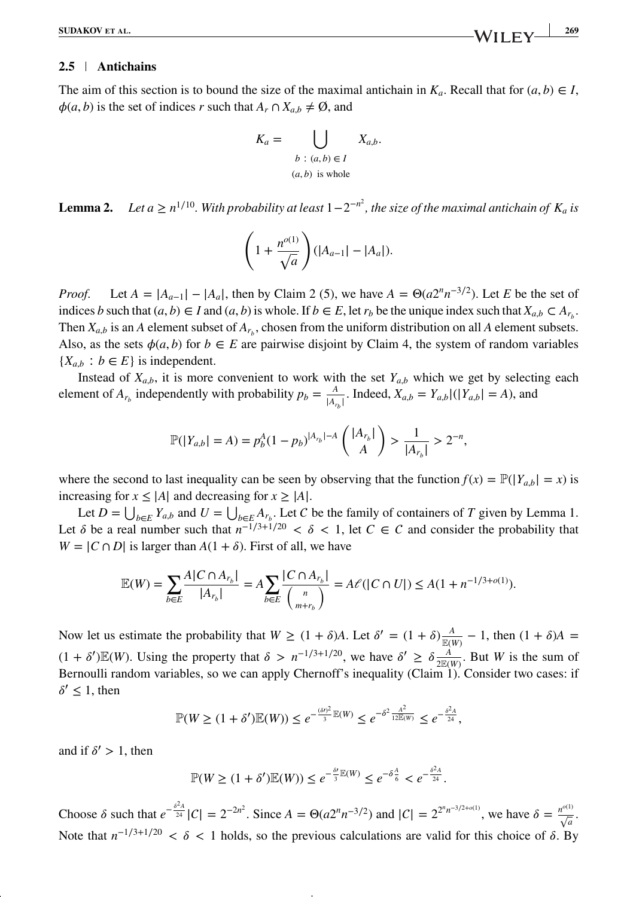### **2.5 Antichains**

The aim of this section is to bound the size of the maximal antichain in  $K_a$ . Recall that for  $(a, b) \in I$ ,  $\phi(a, b)$  is the set of indices *r* such that  $A_r \cap X_{a,b} \neq \emptyset$ , and

$$
K_a = \bigcup_{\begin{array}{c} b:(a,b)\in I\\ (a,b)\text{ is whole} \end{array}} X_{a,b}.
$$

**Lemma 2.** *Let a*  $\geq n^{1/10}$ . With probability at least  $1 - 2^{-n^2}$ , the size of the maximal antichain of  $K_a$  is

$$
\left(1 + \frac{n^{o(1)}}{\sqrt{a}}\right)(|A_{a-1}| - |A_a|).
$$

*Proof.* Let  $A = |A_{a-1}| - |A_a|$ , then by Claim 2 (5), we have  $A = \Theta(a2^n n^{-3/2})$ . Let *E* be the set of indices *b* such that  $(a, b) \in I$  and  $(a, b)$  is whole. If  $b \in E$ , let  $r_b$  be the unique index such that  $X_{a,b} \subset A_{r_b}$ . Then  $X_{a,b}$  is an *A* element subset of  $A_{r_b}$ , chosen from the uniform distribution on all *A* element subsets. Also, as the sets  $\phi(a, b)$  for  $b \in E$  are pairwise disjoint by Claim 4, the system of random variables  ${X_{a,b} : b \in E}$  is independent.

Instead of  $X_{a,b}$ , it is more convenient to work with the set  $Y_{a,b}$  which we get by selecting each element of  $A_{r_b}$  independently with probability  $p_b = \frac{A}{|A_{r_b}|}$ . Indeed,  $X_{a,b} = Y_{a,b}|(|Y_{a,b}| = A)$ , and

$$
\mathbb{P}(|Y_{a,b}| = A) = p_b^A (1 - p_b)^{|A_{r_b}| - A} \left( \frac{|A_{r_b}|}{A} \right) > \frac{1}{|A_{r_b}|} > 2^{-n},
$$

where the second to last inequality can be seen by observing that the function  $f(x) = \mathbb{P}(|Y_{a,b}| = x)$  is increasing for  $x \le |A|$  and decreasing for  $x \ge |A|$ .

Let  $D = \bigcup_{b \in E} Y_{a,b}$  and  $U = \bigcup_{b \in E} A_{r_b}$ . Let C be the family of containers of *T* given by Lemma 1. Let  $\delta$  be a real number such that  $n^{-1/3+1/20} < \delta < 1$ , let  $C \in \mathcal{C}$  and consider the probability that  $W = |C \cap D|$  is larger than  $A(1 + \delta)$ . First of all, we have

$$
\mathbb{E}(W) = \sum_{b \in E} \frac{A |C \cap A_{r_b}|}{|A_{r_b}|} = A \sum_{b \in E} \frac{|C \cap A_{r_b}|}{\binom{n}{m+r_b}} = A \ell (|C \cap U|) \le A(1 + n^{-1/3 + o(1)}).
$$

Now let us estimate the probability that  $W \ge (1 + \delta)A$ . Let  $\delta' = (1 + \delta)\frac{A}{\mathbb{E}(W)} - 1$ , then  $(1 + \delta)A =$  $(1 + \delta')\mathbb{E}(W)$ . Using the property that  $\delta > n^{-1/3+1/20}$ , we have  $\delta' \ge \delta \frac{A}{2\mathbb{E}(W)}$ . But *W* is the sum of Bernoulli random variables, so we can apply Chernoff's inequality (Claim 1). Consider two cases: if  $\delta' \leq 1$ , then

$$
\mathbb{P}(W \ge (1 + \delta')\mathbb{E}(W)) \le e^{-\frac{(\delta t)^2}{3}} \mathbb{E}(W) \le e^{-\delta^2 \frac{A^2}{12\mathbb{E}(W)}} \le e^{-\frac{\delta^2 A}{24}},
$$

and if  $\delta' > 1$ , then

$$
\mathbb{P}(W \ge (1+\delta')\mathbb{E}(W)) \le e^{-\frac{\delta'}{3}\mathbb{E}(W)} \le e^{-\delta\frac{A}{6}} < e^{-\frac{\delta^2 A}{24}}.
$$

Choose *δ* such that  $e^{-\frac{\delta^2 A}{24}}|C| = 2^{-2n^2}$ . Since  $A = \Theta(a2^n n^{-3/2})$  and  $|C| = 2^{2^n n^{-3/2+o(1)}}$ , we have  $\delta = \frac{n^{o(1)}}{\sqrt{a}}$ . Note that  $n^{-1/3+1/20} < \delta < 1$  holds, so the previous calculations are valid for this choice of  $\delta$ . By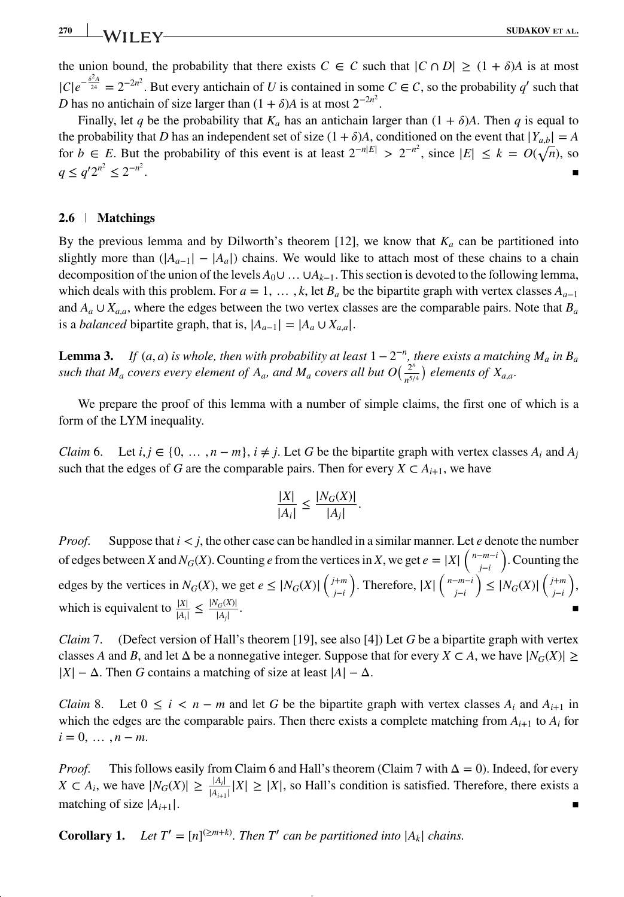**270 SUDAKOV ET AL.** 

the union bound, the probability that there exists  $C \in \mathcal{C}$  such that  $|C \cap D| \geq (1 + \delta)A$  is at most  $|C|e^{-\frac{\delta^2 A}{24}} = 2^{-2n^2}$ . But every antichain of *U* is contained in some  $C \in C$ , so the probability *q*' such that *D* has no antichain of size larger than  $(1 + \delta)A$  is at most  $2^{-2n^2}$ .

Finally, let *q* be the probability that  $K_a$  has an antichain larger than  $(1 + \delta)A$ . Then *q* is equal to the probability that *D* has an independent set of size  $(1 + \delta)A$ , conditioned on the event that  $|Y_{ab}| = A$ for *b* ∈ *E*. But the probability of this event is at least  $2^{-n|E|} > 2^{-n^2}$ , since  $|E| ≤ k = O(\sqrt{n})$ , so *q* ≤ *q'* 2<sup>*n*2</sup> ≤ 2<sup>−*n*2</sup> . The contract of the contract of the contract of the contract of the contract of the contract of the contract of the contract of the contract of the contract of the contract of the contract of the contract of the contrac

### **2.6 Matchings**

By the previous lemma and by Dilworth's theorem [12], we know that  $K_a$  can be partitioned into slightly more than  $(|A_{a-1}| - |A_a|)$  chains. We would like to attach most of these chains to a chain decomposition of the union of the levels *A*0∪…∪*Ak*−1. This section is devoted to the following lemma, which deals with this problem. For  $a = 1, \ldots, k$ , let  $B_a$  be the bipartite graph with vertex classes  $A_{a-1}$ and  $A_a \cup X_{a,a}$ , where the edges between the two vertex classes are the comparable pairs. Note that  $B_a$ is a *balanced* bipartite graph, that is,  $|A_{a-1}| = |A_a \cup X_{a,a}|$ .

**Lemma 3.** *If*  $(a, a)$  *is whole, then with probability at least*  $1 - 2^{-n}$ *, there exists a matching*  $M_a$  *in*  $B_a$ *such that*  $M_a$  *covers every element of*  $A_a$ *, and*  $M_a$  *covers all but*  $O(\frac{2^n}{n^{5/4}})$  *elements of*  $X_{a,a}$ *.* 

We prepare the proof of this lemma with a number of simple claims, the first one of which is a form of the LYM inequality.

*Claim* 6. Let  $i, j \in \{0, \ldots, n - m\}$ ,  $i \neq j$ . Let *G* be the bipartite graph with vertex classes  $A_i$  and  $A_j$ such that the edges of *G* are the comparable pairs. Then for every  $X \subset A_{i+1}$ , we have

$$
\frac{|X|}{|A_i|} \le \frac{|N_G(X)|}{|A_j|}.
$$

*Proof.* Suppose that  $i < j$ , the other case can be handled in a similar manner. Let *e* denote the number of edges between *X* and *N<sub>G</sub>*(*X*). Counting *e* from the vertices in *X*, we get  $e = |X| \left( \int_{j-i}^{n-m-i} \right)$ . Counting the *j*−*i* edges by the vertices in  $N_G(X)$ , we get  $e \leq |N_G(X)| \left( \frac{j+m}{j-i} \right)$ *j*−*i* ). Therefore,  $|X| \left( \begin{array}{c} n-m-i \\ j-i \end{array} \right)$ *j*−*i*  $\left(\sum_{j-i}^{\infty} |N_G(X)| \right) \left(\sum_{j-i}^{j+m}$ *j*−*i* ) , which is equivalent to  $\frac{|X|}{|A_i|} \le \frac{|N_G(X)|}{|A_j|}$  $\frac{|G(\lambda)|}{|A_j|}$ .

*Claim* 7. (Defect version of Hall's theorem [19], see also [4]) Let *G* be a bipartite graph with vertex classes *A* and *B*, and let  $\Delta$  be a nonnegative integer. Suppose that for every  $X \subset A$ , we have  $|N_G(X)| \ge$  $|X| - \Delta$ . Then *G* contains a matching of size at least  $|A| - \Delta$ .

*Claim* 8. Let  $0 \le i \le n - m$  and let G be the bipartite graph with vertex classes  $A_i$  and  $A_{i+1}$  in which the edges are the comparable pairs. Then there exists a complete matching from  $A_{i+1}$  to  $A_i$  for  $i = 0, \ldots, n - m$ .

*Proof.* This follows easily from Claim 6 and Hall's theorem (Claim 7 with  $\Delta = 0$ ). Indeed, for every *X* ⊂ *A<sub>i</sub>*, we have  $|N_G(X)| \ge \frac{|A_i|}{|A_{i+1}|} |X| \ge |X|$ , so Hall's condition is satisfied. Therefore, there exists a matching of size  $|A_{i+1}|$ .

**Corollary 1.** Let  $T' = [n]^{(\geq m+k)}$ . Then T' can be partitioned into  $|A_k|$  chains.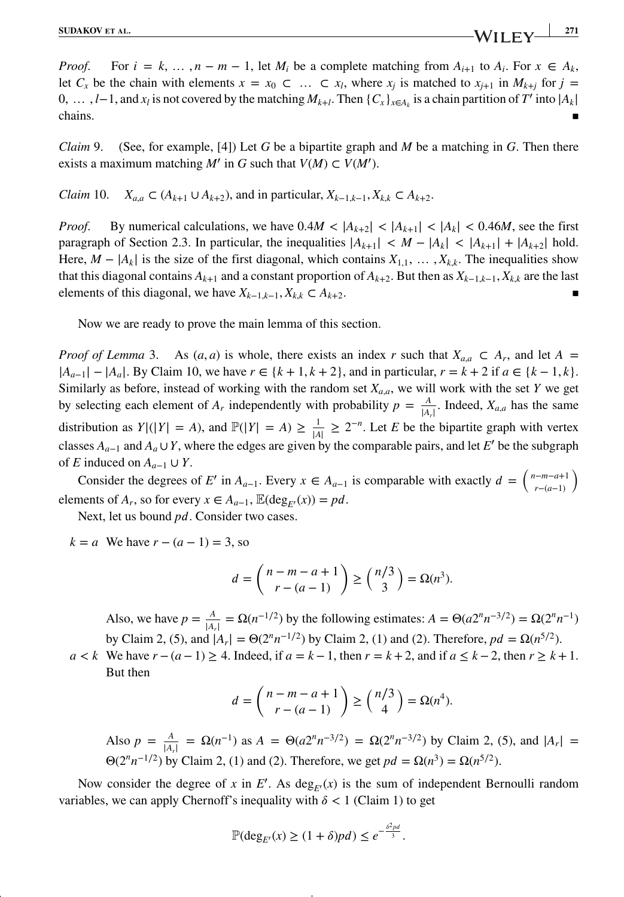*Proof.* For  $i = k, \ldots, n - m - 1$ , let  $M_i$  be a complete matching from  $A_{i+1}$  to  $A_i$ . For  $x \in A_k$ , let  $C_x$  be the chain with elements  $x = x_0 \subset ... \subset x_l$ , where  $x_j$  is matched to  $x_{j+1}$  in  $M_{k+j}$  for  $j =$ 0, ...,  $l-1$ , and  $x_l$  is not covered by the matching  $M_{k+l}$ . Then  $\{C_x\}_{x \in A_k}$  is a chain partition of *T'* into  $|A_k|$  chains. ■  $\blacksquare$ chains.  $\blacksquare$ 

*Claim* 9. (See, for example, [4]) Let *G* be a bipartite graph and *M* be a matching in *G*. Then there exists a maximum matching  $M'$  in  $G$  such that  $V(M) \subset V(M')$ .

*Claim* 10.  $X_{a,a} \subset (A_{k+1} \cup A_{k+2})$ , and in particular,  $X_{k-1,k-1}, X_{k,k} \subset A_{k+2}$ .

*Proof.* By numerical calculations, we have  $0.4M < |A_{k+2}| < |A_{k+1}| < |A_k| < 0.46M$ , see the first paragraph of Section 2.3. In particular, the inequalities  $|A_{k+1}| < M - |A_k| < |A_{k+1}| + |A_{k+2}|$  hold. Here,  $M - |A_k|$  is the size of the first diagonal, which contains  $X_{1,1}, \ldots, X_{k,k}$ . The inequalities show that this diagonal contains  $A_{k+1}$  and a constant proportion of  $A_{k+2}$ . But then as  $X_{k-1,k-1}$ ,  $X_{k,k}$  are the last elements of this diagonal, we have  $X_{k-1,k-1}, X_{k,k} \subset A_{k+2}$ .

Now we are ready to prove the main lemma of this section.

*Proof of Lemma* 3. As  $(a, a)$  is whole, there exists an index *r* such that  $X_{a,a} \subset A_r$ , and let  $A =$  $|A_{a-1}|$  −  $|A_a|$ . By Claim 10, we have  $r \in \{k+1, k+2\}$ , and in particular,  $r = k+2$  if  $a \in \{k-1, k\}$ . Similarly as before, instead of working with the random set  $X_{a,a}$ , we will work with the set *Y* we get by selecting each element of  $A_r$  independently with probability  $p = \frac{A}{|A_r|}$ . Indeed,  $X_{a,a}$  has the same distribution as  $Y|(|Y| = A)$ , and  $\mathbb{P}(|Y| = A) \ge \frac{1}{|A|} \ge 2^{-n}$ . Let *E* be the bipartite graph with vertex classes  $A_{a-1}$  and  $A_a \cup Y$ , where the edges are given by the comparable pairs, and let *E*′ be the subgraph of *E* induced on  $A_{a-1} \cup Y$ .

Consider the degrees of *E'* in  $A_{a-1}$ . Every  $x \in A_{a-1}$  is comparable with exactly  $d = \begin{pmatrix} n-m-a+1 \\ r-(a-1) \end{pmatrix}$ *r*−(*a*−1)  $\lambda$ elements of  $A_r$ , so for every  $x \in A_{a-1}$ ,  $\mathbb{E}(\deg_{F'}(x)) = pd$ .

Next, let us bound *pd*. Consider two cases.

*k* = *a* We have  $r - (a - 1) = 3$ , so

$$
d = \binom{n-m-a+1}{r-(a-1)} \ge \binom{n/3}{3} = \Omega(n^3).
$$

Also, we have  $p = \frac{A}{|A_r|} = \Omega(n^{-1/2})$  by the following estimates:  $A = \Theta(a2^n n^{-3/2}) = \Omega(2^n n^{-1})$ by Claim 2, (5), and  $|A_r| = \Theta(2^n n^{-1/2})$  by Claim 2, (1) and (2). Therefore,  $pd = \Omega(n^{5/2})$ .

*a* < *k* We have  $r - (a - 1) \ge 4$ . Indeed, if  $a = k - 1$ , then  $r = k + 2$ , and if  $a \le k - 2$ , then  $r \ge k + 1$ . But then

$$
d = \binom{n-m-a+1}{r-(a-1)} \ge \binom{n/3}{4} = \Omega(n^4).
$$

Also  $p = \frac{A}{|A_r|} = \Omega(n^{-1})$  as  $A = \Theta(a2^n n^{-3/2}) = \Omega(2^n n^{-3/2})$  by Claim 2, (5), and  $|A_r| =$ Θ(2<sup>*n*</sup>  $n^{-1/2}$ ) by Claim 2, (1) and (2). Therefore, we get  $pd = Ω(n^3) = Ω(n^{5/2})$ .

Now consider the degree of *x* in  $E'$ . As  $deg_{E'}(x)$  is the sum of independent Bernoulli random variables, we can apply Chernoff's inequality with  $\delta$  < 1 (Claim 1) to get

$$
\mathbb{P}(\deg_{E'}(x) \ge (1+\delta)p d) \le e^{-\frac{\delta^2 p d}{3}}.
$$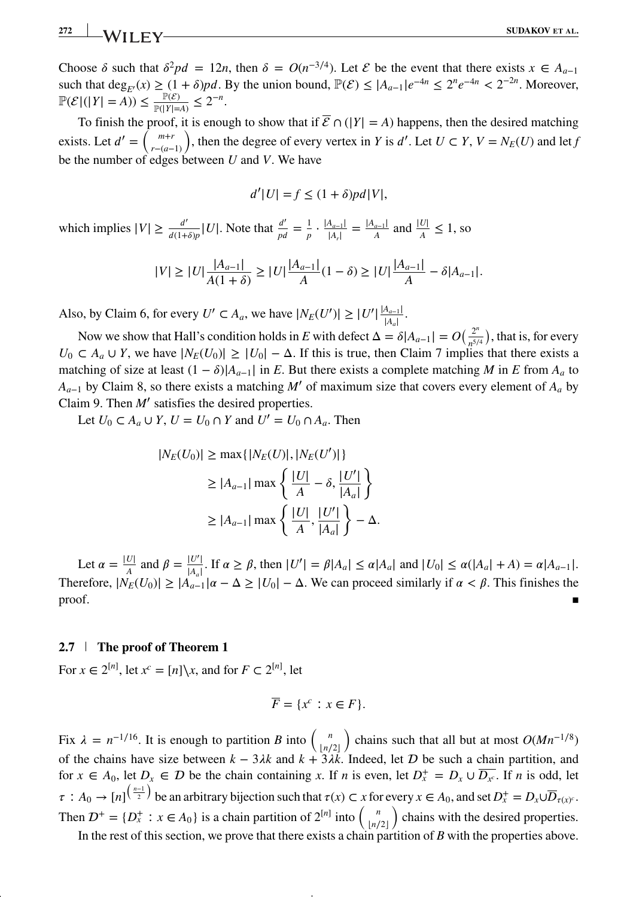## **272 SUDAKOV ET AL. SUDAKOV ET AL.**

Choose  $\delta$  such that  $\delta^2 pd = 12n$ , then  $\delta = O(n^{-3/4})$ . Let  $\mathcal E$  be the event that there exists  $x \in A_{n-1}$ such that deg<sub>*E'*</sub>(*x*) ≥ (1 +  $\delta$ )*pd*. By the union bound,  $\mathbb{P}(\mathcal{E}) \le |A_{a-1}|e^{-4n} \le 2^n e^{-4n} < 2^{-2n}$ . Moreover,  $\mathbb{P}(\mathcal{E}|(|Y| = A)) \le \frac{\mathbb{P}(\mathcal{E})}{\mathbb{P}(|Y| = A)} \le 2^{-n}.$ 

To finish the proof, it is enough to show that if  $\overline{\mathcal{E}} \cap (|Y| = A)$  happens, then the desired matching exists. Let  $d' = \int_{r}^{m+r}$ *r*−(*a*−1) ), then the degree of every vertex in *Y* is  $d'$ . Let  $U \subset Y$ ,  $V = N_E(U)$  and let *f* be the number of edges between *U* and *V*. We have

$$
d'|U| = f \le (1 + \delta)p d|V|,
$$

which implies  $|V| \ge \frac{d'}{d(1+\delta)p}|U|$ . Note that  $\frac{d'}{pd} = \frac{1}{p} \cdot \frac{|A_{a-1}|}{|A_r|} = \frac{|A_{a-1}|}{A}$  and  $\frac{|U|}{A} \le 1$ , so

$$
|V| \ge |U| \frac{|A_{a-1}|}{A(1+\delta)} \ge |U| \frac{|A_{a-1}|}{A}(1-\delta) \ge |U| \frac{|A_{a-1}|}{A} - \delta |A_{a-1}|.
$$

Also, by Claim 6, for every  $U' \subset A_a$ , we have  $|N_E(U')| \ge |U'| \frac{|A_{a-1}|}{|A_a|}$ .

Now we show that Hall's condition holds in *E* with defect  $\Delta = \delta |A_{a-1}| = O(\frac{2^n}{n^{5/4}})$ , that is, for every  $U_0 \subset A_a \cup Y$ , we have  $|N_E(U_0)| \geq |U_0| - \Delta$ . If this is true, then Claim 7 implies that there exists a matching of size at least  $(1 - \delta)|A_{a-1}|$  in *E*. But there exists a complete matching *M* in *E* from  $A_a$  to  $A_{a-1}$  by Claim 8, so there exists a matching *M'* of maximum size that covers every element of  $A_a$  by Claim 9. Then *M*′ satisfies the desired properties.

Let *U*<sub>0</sub> ⊂ *A<sub>a</sub>* ∪ *Y*, *U* = *U*<sub>0</sub> ∩ *Y* and *U'* = *U*<sub>0</sub> ∩ *A<sub>a</sub>*. Then

$$
|N_E(U_0)| \ge \max\{|N_E(U)|, |N_E(U')|\}
$$
  
\n
$$
\ge |A_{a-1}| \max\left\{\frac{|U|}{A} - \delta, \frac{|U'|}{|A_a|}\right\}
$$
  
\n
$$
\ge |A_{a-1}| \max\left\{\frac{|U|}{A}, \frac{|U'|}{|A_a|}\right\} - \Delta.
$$

Let  $\alpha = \frac{|U|}{A}$  and  $\beta = \frac{|U'|}{|A_a|}$ . If  $\alpha \ge \beta$ , then  $|U'| = \beta |A_a| \le \alpha |A_a|$  and  $|U_0| \le \alpha (|A_a| + A) = \alpha |A_{a-1}|$ . Therefore,  $|N_E(U_0)| \ge |A_{a-1}| \alpha - \Delta \ge |U_0| - \Delta$ . We can proceed similarly if  $\alpha < \beta$ . This finishes the  $\blacksquare$  proof.

### **2.7 The proof of Theorem 1**

For  $x \in 2^{[n]}$ , let  $x^c = [n] \setminus x$ , and for  $F \subset 2^{[n]}$ , let

$$
\overline{F} = \{x^c : x \in F\}.
$$

Fix  $\lambda = n^{-1/16}$ . It is enough to partition *B* into  $\begin{pmatrix} n \\ \frac{n}{2} \end{pmatrix}$ ) chains such that all but at most  $O(Mn^{-1/8})$ of the chains have size between  $k - 3\lambda k$  and  $k + 3\lambda k$ . Indeed, let  $D$  be such a chain partition, and for  $x \in A_0$ , let  $D_x \in D$  be the chain containing x. If *n* is even, let  $D_x^+ = D_x \cup \overline{D_x}$ . If *n* is odd, let  $\tau : A_0 \to [n]^{(\frac{n-1}{2})}$  be an arbitrary bijection such that  $\tau(x) \subset x$  for every  $x \in A_0$ , and set  $D_x^+ = D_x \cup \overline{D}_{\tau(x)^c}$ . Then  $\mathcal{D}^+ = \{D_x^+ : x \in A_0\}$  is a chain partition of  $2^{[n]}$  into  $\begin{pmatrix} n \\ \lfloor n/2 \rfloor \end{pmatrix}$ ) chains with the desired properties.

In the rest of this section, we prove that there exists a chain partition of *B* with the properties above.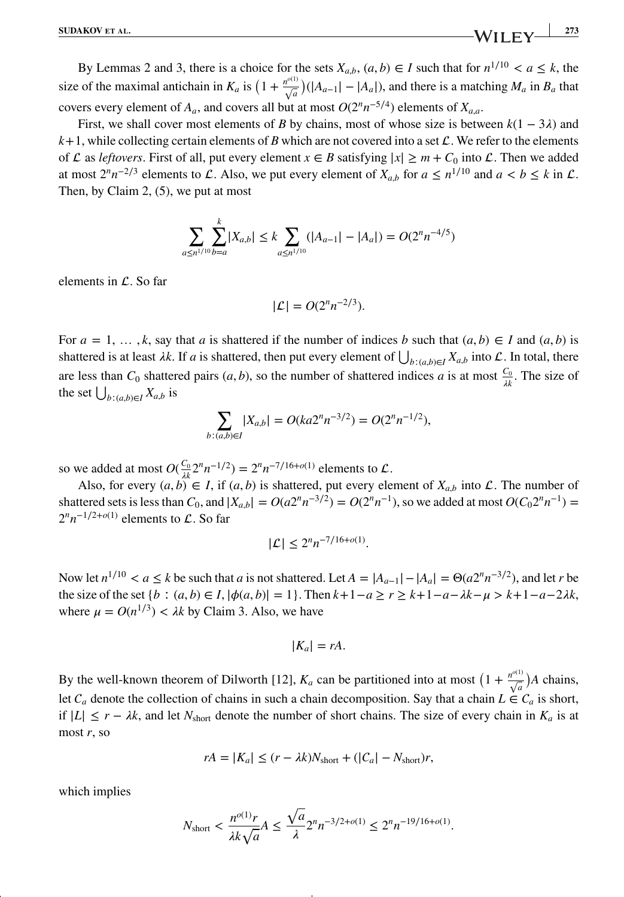**SUDAKOV** ET AL. 273

By Lemmas 2 and 3, there is a choice for the sets  $X_{a,b}$ ,  $(a, b) \in I$  such that for  $n^{1/10} < a \leq k$ , the size of the maximal antichain in  $K_a$  is  $(1 + \frac{n^{o(1)}}{\sqrt{a}})(|A_{a-1}| - |A_a|)$ , and there is a matching  $M_a$  in  $B_a$  that covers every element of  $A_a$ , and covers all but at most  $O(2^n n^{-5/4})$  elements of  $X_{a,a}$ .

First, we shall cover most elements of *B* by chains, most of whose size is between  $k(1 - 3\lambda)$  and  $k+1$ , while collecting certain elements of *B* which are not covered into a set  $\mathcal{L}$ . We refer to the elements of  $\mathcal L$  as *leftovers*. First of all, put every element  $x \in B$  satisfying  $|x| \ge m + C_0$  into  $\mathcal L$ . Then we added at most  $2^n n^{-2/3}$  elements to L. Also, we put every element of  $X_{a,b}$  for  $a \le n^{1/10}$  and  $a < b \le k$  in L. Then, by Claim 2, (5), we put at most

$$
\sum_{a \le n^{1/10}} \sum_{b=a}^{k} |X_{a,b}| \le k \sum_{a \le n^{1/10}} (|A_{a-1}| - |A_a|) = O(2^n n^{-4/5})
$$

elements in  $\mathcal{L}$ . So far

$$
|\mathcal{L}| = O(2^n n^{-2/3}).
$$

For  $a = 1, \ldots, k$ , say that *a* is shattered if the number of indices *b* such that  $(a, b) \in I$  and  $(a, b)$  is shattered is at least  $\lambda k$ . If *a* is shattered, then put every element of  $\bigcup_{b:(a,b)\in I} X_{a,b}$  into  $\mathcal L$ . In total, there are less than  $C_0$  shattered pairs  $(a, b)$ , so the number of shattered indices *a* is at most  $\frac{C_0}{\lambda k}$ . The size of the set  $\bigcup_{b:(a,b)\in I} X_{a,b}$  is

$$
\sum_{b:(a,b)\in I} |X_{a,b}| = O(ka2^n n^{-3/2}) = O(2^n n^{-1/2}),
$$

so we added at most  $O(\frac{C_0}{n}2^n n^{-1/2}) = 2^n n^{-7/16+o(1)}$  elements to  $\mathcal{L}$ .

Also, for every  $(a, b) \in I$ , if  $(a, b)$  is shattered, put every element of  $X_{a,b}$  into  $\mathcal{L}$ . The number of shattered sets is less than  $C_0$ , and  $|X_{a,b}| = O(a2^n n^{-3/2}) = O(2^n n^{-1})$ , so we added at most  $O(C_0 2^n n^{-1}) =$  $2^n n^{-1/2+o(1)}$  elements to  $\mathcal{L}$ . So far

$$
|\mathcal{L}| \le 2^n n^{-7/16 + o(1)}.
$$

Now let  $n^{1/10}$  <  $a \le k$  be such that  $a$  is not shattered. Let  $A = |A_{a-1}| - |A_a| = \Theta(a2^n n^{-3/2})$ , and let *r* be a let  $a \le k$  be such that  $a$  is not shattered. Let  $A = |A_{a-1}| - |A_a| = \Theta(a2^n n^{-3/2})$ , and let *r* be the size of the set {*b* ∶  $(a, b) \in I$ ,  $|\phi(a, b)| = 1$ }. Then  $k+1-a \ge r \ge k+1-a-λk-\mu > k+1-a-2λk$ , where  $\mu = O(n^{1/3}) < \lambda k$  by Claim 3. Also, we have

$$
|K_a|=rA.
$$

By the well-known theorem of Dilworth [12],  $K_a$  can be partitioned into at most  $(1 + \frac{n^{o(1)}}{\sqrt{a}})A$  chains, let  $C_a$  denote the collection of chains in such a chain decomposition. Say that a chain  $L \in C_a$  is short, if  $|L|$  ≤ *r* −  $\lambda k$ , and let  $N_{short}$  denote the number of short chains. The size of every chain in  $K_a$  is at most *r*, so

$$
rA = |K_a| \le (r - \lambda k)N_{\text{short}} + (|C_a| - N_{\text{short}})r,
$$

which implies

$$
N_{\text{short}} < \frac{n^{o(1)}r}{\lambda k \sqrt{a}} A \le \frac{\sqrt{a}}{\lambda} 2^n n^{-3/2 + o(1)} \le 2^n n^{-19/16 + o(1)}.
$$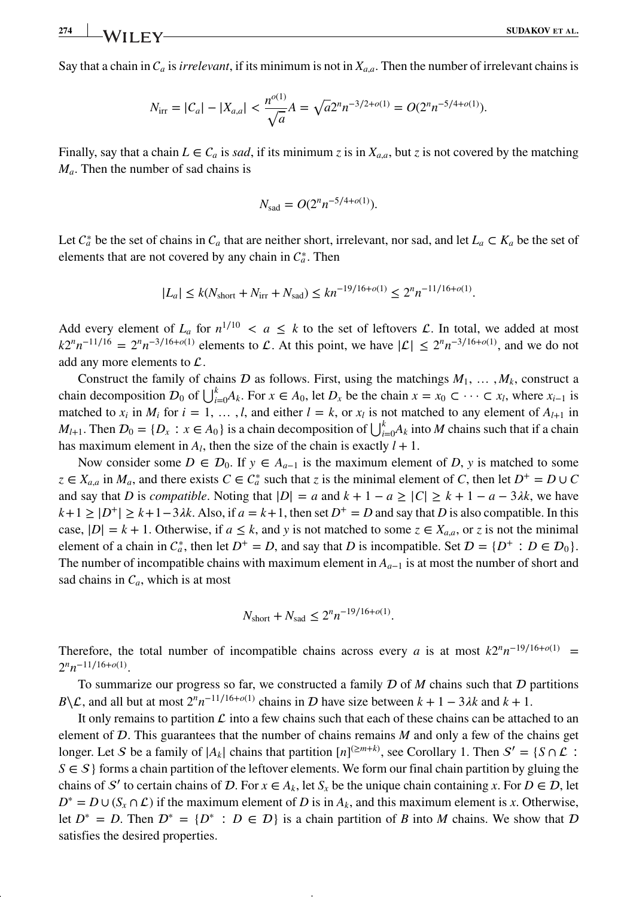Say that a chain in  $C_a$  is *irrelevant*, if its minimum is not in  $X_{a,a}$ . Then the number of irrelevant chains is

$$
N_{\text{irr}} = |C_a| - |X_{a,a}| < \frac{n^{o(1)}}{\sqrt{a}} A = \sqrt{a} 2^n n^{-3/2 + o(1)} = O(2^n n^{-5/4 + o(1)}).
$$

Finally, say that a chain  $L \in C_a$  is *sad*, if its minimum *z* is in  $X_{a,a}$ , but *z* is not covered by the matching *Ma*. Then the number of sad chains is

$$
N_{\rm sad} = O(2^n n^{-5/4 + o(1)}).
$$

Let  $C_a^*$  be the set of chains in  $C_a$  that are neither short, irrelevant, nor sad, and let  $L_a \subset K_a$  be the set of elements that are not covered by any chain in  $C_a^*$ . Then

$$
|L_a| \le k(N_{\text{short}} + N_{\text{irr}} + N_{\text{sad}}) \le kn^{-19/16 + o(1)} \le 2^n n^{-11/16 + o(1)}.
$$

Add every element of  $L_a$  for  $n^{1/10} < a \leq k$  to the set of leftovers  $\mathcal{L}$ . In total, we added at most  $k2^n n^{-11/16} = 2^n n^{-3/16 + o(1)}$  elements to  $\mathcal{L}$ . At this point, we have  $|\mathcal{L}| \leq 2^n n^{-3/16 + o(1)}$ , and we do not add any more elements to  $\mathcal{L}$ .

Construct the family of chains  $D$  as follows. First, using the matchings  $M_1, \ldots, M_k$ , construct a chain decomposition  $D_0$  of  $\bigcup_{i=0}^{k} A_k$ . For  $x \in A_0$ , let  $D_x$  be the chain  $x = x_0 \subset \cdots \subset x_l$ , where  $x_{i-1}$  is matched to  $x_i$  in  $M_i$  for  $i = 1, \ldots, l$ , and either  $l = k$ , or  $x_l$  is not matched to any element of  $A_{l+1}$  in *M*<sub>l+1</sub>. Then  $D_0 = \{D_x : x \in A_0\}$  is a chain decomposition of  $\bigcup_{i=0}^k A_k$  into *M* chains such that if a chain has maximum element in  $A_l$ , then the size of the chain is exactly  $l + 1$ .

Now consider some  $D \in \mathcal{D}_0$ . If  $y \in A_{a-1}$  is the maximum element of *D*, *y* is matched to some  $z \in X_{a,a}$  in  $M_a$ , and there exists  $C \in C_a^*$  such that *z* is the minimal element of *C*, then let  $D^+ = D \cup C$ and say that *D* is *compatible*. Noting that  $|D| = a$  and  $k + 1 - a \ge |C| \ge k + 1 - a - 3\lambda k$ , we have  $k+1 \ge |D^+| \ge k+1-3\lambda k$ . Also, if  $a = k+1$ , then set  $D^+ = D$  and say that *D* is also compatible. In this case,  $|D| = k + 1$ . Otherwise, if  $a \leq k$ , and y is not matched to some  $z \in X_{a,a}$ , or z is not the minimal element of a chain in  $C_a^*$ , then let  $D^+ = D$ , and say that *D* is incompatible. Set  $D = \{D^+ : D \in D_0\}$ . The number of incompatible chains with maximum element in  $A_{a-1}$  is at most the number of short and sad chains in  $C_a$ , which is at most

$$
N_{\text{short}} + N_{\text{sad}} \le 2^n n^{-19/16 + o(1)}.
$$

Therefore, the total number of incompatible chains across every *a* is at most  $k2^n n^{-19/16+o(1)}$  =  $2^n n^{-11/16+o(1)}$ .

To summarize our progress so far, we constructed a family  $D$  of  $M$  chains such that  $D$  partitions *B*\ $\mathcal{L}$ , and all but at most  $2^n n^{-11/16+o(1)}$  chains in  $\mathcal{D}$  have size between  $k + 1 - 3\lambda k$  and  $k + 1$ .

It only remains to partition  $\mathcal L$  into a few chains such that each of these chains can be attached to an element of  $D$ . This guarantees that the number of chains remains  $M$  and only a few of the chains get longer. Let *S* be a family of  $|A_k|$  chains that partition  $[n]^{(\geq m+k)}$ , see Corollary 1. Then  $S' = \{S \cap \mathcal{L} : S \in \mathcal{L} \}$  $S \in S$  forms a chain partition of the leftover elements. We form our final chain partition by gluing the chains of S' to certain chains of D. For  $x \in A_k$ , let  $S_x$  be the unique chain containing x. For  $D \in D$ , let  $D^* = D \cup (S_r \cap \mathcal{L})$  if the maximum element of *D* is in  $A_k$ , and this maximum element is *x*. Otherwise, let  $D^* = D$ . Then  $D^* = \{D^* : D \in D\}$  is a chain partition of *B* into *M* chains. We show that *D* satisfies the desired properties.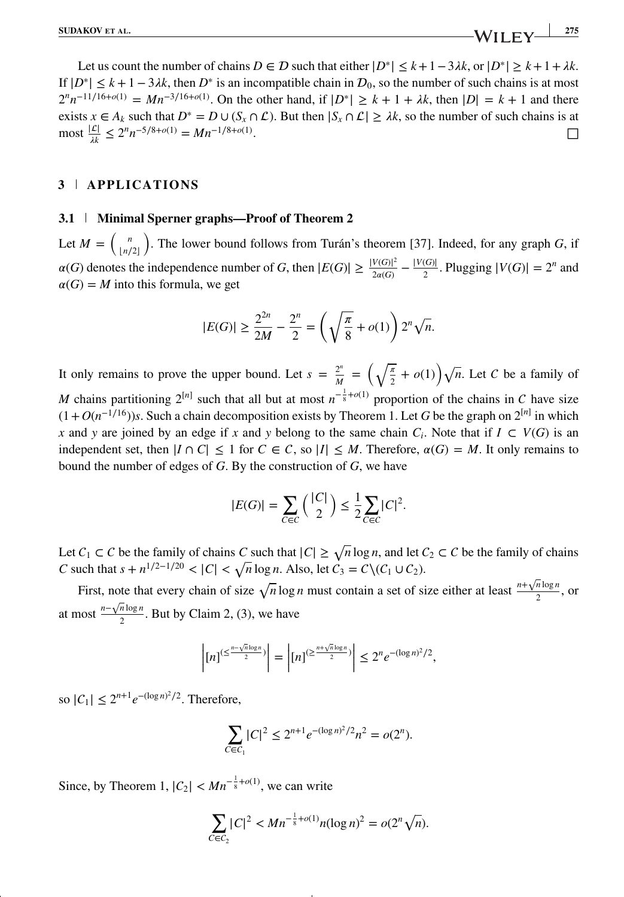Let us count the number of chains  $D \in \mathcal{D}$  such that either  $|D^*| \leq k+1-3\lambda k$ , or  $|D^*| \geq k+1+\lambda k$ . If  $|D^*| \leq k + 1 - 3\lambda k$ , then  $D^*$  is an incompatible chain in  $D_0$ , so the number of such chains is at most  $2^{n}n^{-11/16+o(1)} = Mn^{-3/16+o(1)}$ . On the other hand, if  $|D^*| \ge k + 1 + \lambda k$ , then  $|D| = k + 1$  and there exists *x* ∈ *A<sub>k</sub>* such that *D*<sup>∗</sup> = *D* ∪ (*S<sub>x</sub>* ∩  $\mathcal{L}$ ). But then  $|S_x \cap \mathcal{L}| \geq \lambda k$ , so the number of such chains is at most  $\frac{|\mathcal{L}|}{\lambda} < 2^n n^{-5/8 + o(1)} = Mn^{-1/8 + o(1)}$ .  $\text{most } \frac{|\mathcal{L}|}{\lambda k} \leq 2^n n^{-5/8 + o(1)} = M n^{-1/8 + o(1)}$ . □

### **3 APPLICATIONS**

### **3.1 Minimal Sperner graphs—Proof of Theorem 2**

Let  $M = \binom{n}{\lfloor n/2 \rfloor}$ . The lower bound follows from Turán's theorem [37]. Indeed, for any graph *G*, if  $\lfloor n/2 \rfloor$  $\alpha(G)$  denotes the independence number of *G*, then  $|E(G)| \ge \frac{|V(G)|^2}{2\alpha(G)} - \frac{|V(G)|}{2}$ . Plugging  $|V(G)| = 2^n$  and  $\alpha(G) = M$  into this formula, we get

$$
|E(G)| \ge \frac{2^{2n}}{2M} - \frac{2^n}{2} = \left(\sqrt{\frac{\pi}{8}} + o(1)\right) 2^n \sqrt{n}.
$$

It only remains to prove the upper bound. Let  $s = \frac{2^n}{M} = \left(\sqrt{\frac{\pi}{2}} + o(1)\right)\sqrt{n}$ . Let C be a family of *M* chains partitioning  $2^{[n]}$  such that all but at most  $n^{-\frac{1}{8} + o(1)}$  proportion of the chains in C have size  $(1+O(n^{-1/16}))$ *s*. Such a chain decomposition exists by Theorem 1. Let *G* be the graph on  $2^{[n]}$  in which *x* and *y* are joined by an edge if *x* and *y* belong to the same chain  $C_i$ . Note that if  $I \subset V(G)$  is an independent set, then  $|I \cap C| \le 1$  for  $C \in C$ , so  $|I| \le M$ . Therefore,  $\alpha(G) = M$ . It only remains to bound the number of edges of *G*. By the construction of *G*, we have

$$
|E(G)| = \sum_{C \in C} \binom{|C|}{2} \le \frac{1}{2} \sum_{C \in C} |C|^2.
$$

Let  $C_1$  ⊂  $C$  be the family of chains  $C$  such that  $|C| \ge \sqrt{n} \log n$ , and let  $C_2$  ⊂  $C$  be the family of chains *C* such that  $s + n^{1/2-1/20} < |C| < \sqrt{n} \log n$ . Also, let  $C_3 = C \setminus (C_1 \cup C_2)$ .

First, note that every chain of size  $\sqrt{n} \log n$  must contain a set of size either at least  $\frac{n+\sqrt{n} \log n}{2}$ , or at most  $\frac{n-\sqrt{n}\log n}{2}$ . But by Claim 2, (3), we have

$$
\left| [n]^{(\leq \frac{n-\sqrt{n}\log n}{2})} \right| = \left| [n]^{(\geq \frac{n+\sqrt{n}\log n}{2})} \right| \leq 2^n e^{-(\log n)^2/2},
$$

so  $|C_1| \le 2^{n+1} e^{-(\log n)^2/2}$ . Therefore,

$$
\sum_{C \in C_1} |C|^2 \le 2^{n+1} e^{-(\log n)^2/2} n^2 = o(2^n).
$$

Since, by Theorem 1,  $|C_2| < Mn^{-\frac{1}{8} + o(1)}$ , we can write

$$
\sum_{C \in C_2} |C|^2 < M n^{-\frac{1}{8} + o(1)} n (\log n)^2 = o(2^n \sqrt{n}).
$$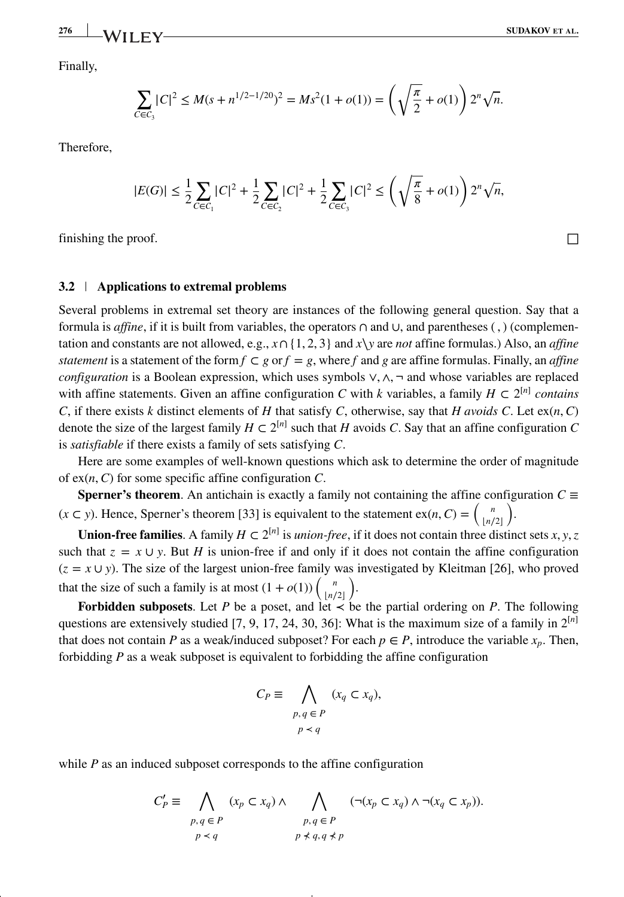Finally,

**276 WILEY** 

$$
\sum_{C \in C_3} |C|^2 \le M(s + n^{1/2 - 1/20})^2 = M s^2 (1 + o(1)) = \left(\sqrt{\frac{\pi}{2}} + o(1)\right) 2^n \sqrt{n}.
$$

Therefore,

$$
|E(G)| \leq \frac{1}{2} \sum_{C \in C_1} |C|^2 + \frac{1}{2} \sum_{C \in C_2} |C|^2 + \frac{1}{2} \sum_{C \in C_3} |C|^2 \leq \left(\sqrt{\frac{\pi}{8}} + o(1)\right) 2^n \sqrt{n},
$$

finishing the proof.  $\Box$ 

### **3.2 Applications to extremal problems**

Several problems in extremal set theory are instances of the following general question. Say that a formula is *affine*, if it is built from variables, the operators ∩ and ∪, and parentheses ( *,* ) (complementation and constants are not allowed, e.g., *x*∩ {1*,* 2*,* 3} and *x*∖*y* are *not* affine formulas.) Also, an *affine statement* is a statement of the form  $f \subset g$  or  $f = g$ , where f and g are affine formulas. Finally, an *affine configuration* is a Boolean expression, which uses symbols ∨*,* ∧*,* ¬ and whose variables are replaced with affine statements. Given an affine configuration *C* with *k* variables, a family  $H \subset 2^{[n]}$  *contains C*, if there exists *k* distinct elements of *H* that satisfy *C*, otherwise, say that *H avoids C*. Let ex(*n,C*) denote the size of the largest family  $H \subset 2^{[n]}$  such that *H* avoids *C*. Say that an affine configuration *C* is *satisfiable* if there exists a family of sets satisfying *C*.

Here are some examples of well-known questions which ask to determine the order of magnitude of ex(*n,C*) for some specific affine configuration *C*.

**Sperner's theorem**. An antichain is exactly a family not containing the affine configuration  $C \equiv$  $(x \subset y)$ . Hence, Sperner's theorem [33] is equivalent to the statement  $ex(n, C) = {n \choose \lfloor n/2 \rfloor}$ ) .

**Union-free families**. A family *H* ⊂  $2^{[n]}$  is *union-free*, if it does not contain three distinct sets *x*, *y*, *z* such that  $z = x \cup y$ . But *H* is union-free if and only if it does not contain the affine configuration  $(z = x \cup y)$ . The size of the largest union-free family was investigated by Kleitman [26], who proved that the size of such a family is at most  $(1 + o(1))$   $\binom{n}{\lfloor n/2 \rfloor}$ ) .

**Forbidden subposets**. Let *P* be a poset, and let  $\prec$  be the partial ordering on *P*. The following questions are extensively studied  $[7, 9, 17, 24, 30, 36]$ : What is the maximum size of a family in  $2^{[n]}$ that does not contain *P* as a weak/induced subposet? For each  $p \in P$ , introduce the variable  $x_p$ . Then, forbidding *P* as a weak subposet is equivalent to forbidding the affine configuration

$$
C_P \equiv \bigwedge_{\substack{p,q \in P \\ p \prec q}} (x_q \subset x_q),
$$

while  $P$  as an induced subposet corresponds to the affine configuration

$$
C'_{P} \equiv \bigwedge_{\substack{p,q \in P \\ p \prec q}} (x_{p} \subset x_{q}) \land \bigwedge_{\substack{p,q \in P \\ p \not\prec q,q \not\prec p}} (\neg(x_{p} \subset x_{q}) \land \neg(x_{q} \subset x_{p})).
$$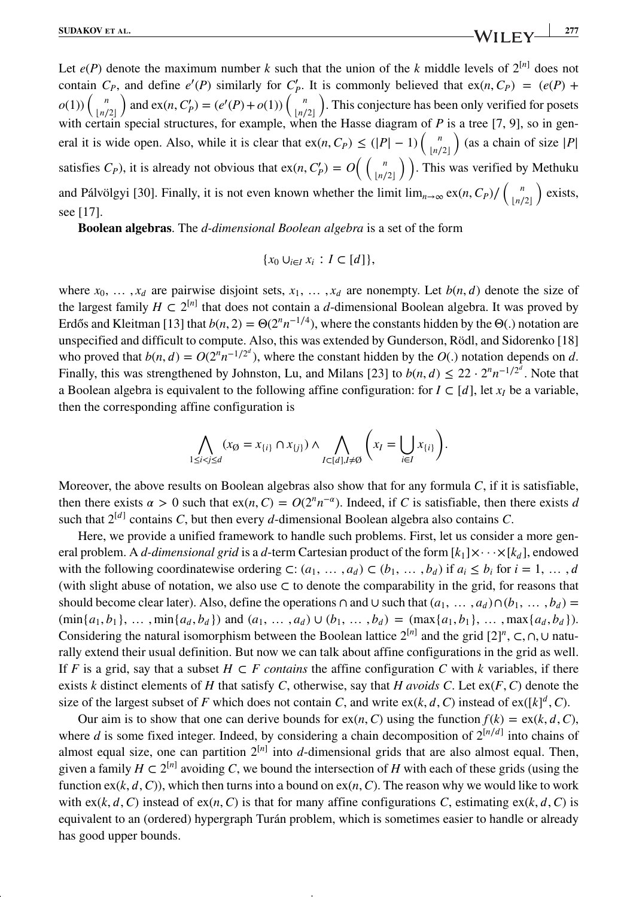Let  $e(P)$  denote the maximum number k such that the union of the k middle levels of  $2^{[n]}$  does not contain  $C_P$ , and define  $e'(P)$  similarly for  $C'_P$ . It is commonly believed that  $ex(n, C_P) = (e(P) +$  $o(1))\begin{pmatrix} n \\ \lfloor n/2 \rfloor \end{pmatrix}$ and  $ex(n, C'_P) = (e'(P) + o(1)) \left( \frac{n}{\lfloor n/2 \rfloor} \right)$ ) . This conjecture has been only verified for posets with certain special structures, for example, when the Hasse diagram of *P* is a tree [7, 9], so in general it is wide open. Also, while it is clear that  $ex(n, C_P) \leq (|P| - 1) \left( \frac{n}{|n|} \right)$  $\lfloor n/2 \rfloor$ ) (as a chain of size <sup>|</sup>*P*<sup>|</sup> satisfies *C<sub>P</sub>*), it is already not obvious that  $ex(n, C'_p) = O\left(\frac{n}{\ln r}\right)$  $\binom{n}{\lfloor n/2 \rfloor}$ . This was verified by Methuku and Pálvölgyi [30]. Finally, it is not even known whether the limit  $\lim_{n\to\infty} \frac{\exp(n, C_p)}{n} \left( \frac{n}{\lfloor n/2 \rfloor} \right)$ ) exists, see [17].

**Boolean algebras**. The *d-dimensional Boolean algebra* is a set of the form

$$
\{x_0\cup_{i\in I}x_i: I\subset [d]\},\
$$

where  $x_0, \ldots, x_d$  are pairwise disjoint sets,  $x_1, \ldots, x_d$  are nonempty. Let  $b(n, d)$  denote the size of the largest family  $H \subset 2^{[n]}$  that does not contain a *d*-dimensional Boolean algebra. It was proved by Erdős and Kleitman [13] that  $b(n, 2) = \Theta(2^n n^{-1/4})$ , where the constants hidden by the  $\Theta(.)$  notation are unspecified and difficult to compute. Also, this was extended by Gunderson, Rödl, and Sidorenko [18] who proved that  $b(n, d) = O(2^n n^{-1/2^d})$ , where the constant hidden by the  $O(.)$  notation depends on *d*. Finally, this was strengthened by Johnston, Lu, and Milans [23] to  $b(n, d) \leq 22 \cdot 2^{n} n^{-1/2^d}$ . Note that a Boolean algebra is equivalent to the following affine configuration: for  $I \subset [d]$ , let  $x_I$  be a variable, then the corresponding affine configuration is

$$
\bigwedge_{1 \leq i < j \leq d} (x_{\emptyset} = x_{\{i\}} \cap x_{\{j\}}) \land \bigwedge_{I \subset [d], I \neq \emptyset} \left( x_I = \bigcup_{i \in I} x_{\{i\}} \right).
$$

Moreover, the above results on Boolean algebras also show that for any formula *C*, if it is satisfiable, then there exists  $\alpha > 0$  such that ex(*n*, *C*) =  $O(2^n n^{-\alpha})$ . Indeed, if *C* is satisfiable, then there exists *d* such that  $2^{[d]}$  contains *C*, but then every *d*-dimensional Boolean algebra also contains *C*.

Here, we provide a unified framework to handle such problems. First, let us consider a more general problem. A *d-dimensional grid* is a *d*-term Cartesian product of the form  $[k_1] \times \cdots \times [k_d]$ , endowed with the following coordinatewise ordering  $\subset$ :  $(a_1, \ldots, a_d) \subset (b_1, \ldots, b_d)$  if  $a_i \leq b_i$  for  $i = 1, \ldots, d$ (with slight abuse of notation, we also use *⊂* to denote the comparability in the grid, for reasons that should become clear later). Also, define the operations  $\cap$  and  $\cup$  such that  $(a_1, \ldots, a_d) \cap (b_1, \ldots, b_d)$  $(\min\{a_1, b_1\}, \dots, \min\{a_d, b_d\})$  and  $(a_1, \dots, a_d) \cup (b_1, \dots, b_d) = (\max\{a_1, b_1\}, \dots, \max\{a_d, b_d\}).$ Considering the natural isomorphism between the Boolean lattice  $2^{[n]}$  and the grid  $[2]^n$ ,  $\subset$ ,  $\cap$ ,  $\cup$  naturally extend their usual definition. But now we can talk about affine configurations in the grid as well. If *F* is a grid, say that a subset  $H \subset F$  contains the affine configuration *C* with *k* variables, if there exists *k* distinct elements of *H* that satisfy *C*, otherwise, say that *H* avoids *C*. Let  $ex(F, C)$  denote the size of the largest subset of *F* which does not contain *C*, and write  $ex(k, d, C)$  instead of  $ex([k]^{d}, C)$ .

Our aim is to show that one can derive bounds for  $ex(n, C)$  using the function  $f(k) = ex(k, d, C)$ , where *d* is some fixed integer. Indeed, by considering a chain decomposition of  $2^{\lfloor n/d \rfloor}$  into chains of almost equal size, one can partition  $2^{[n]}$  into *d*-dimensional grids that are also almost equal. Then, given a family  $H \subset 2^{[n]}$  avoiding *C*, we bound the intersection of *H* with each of these grids (using the function  $ex(k, d, C)$ ), which then turns into a bound on  $ex(n, C)$ . The reason why we would like to work with ex( $k, d, C$ ) instead of ex( $n, C$ ) is that for many affine configurations *C*, estimating ex( $k, d, C$ ) is equivalent to an (ordered) hypergraph Turán problem, which is sometimes easier to handle or already has good upper bounds.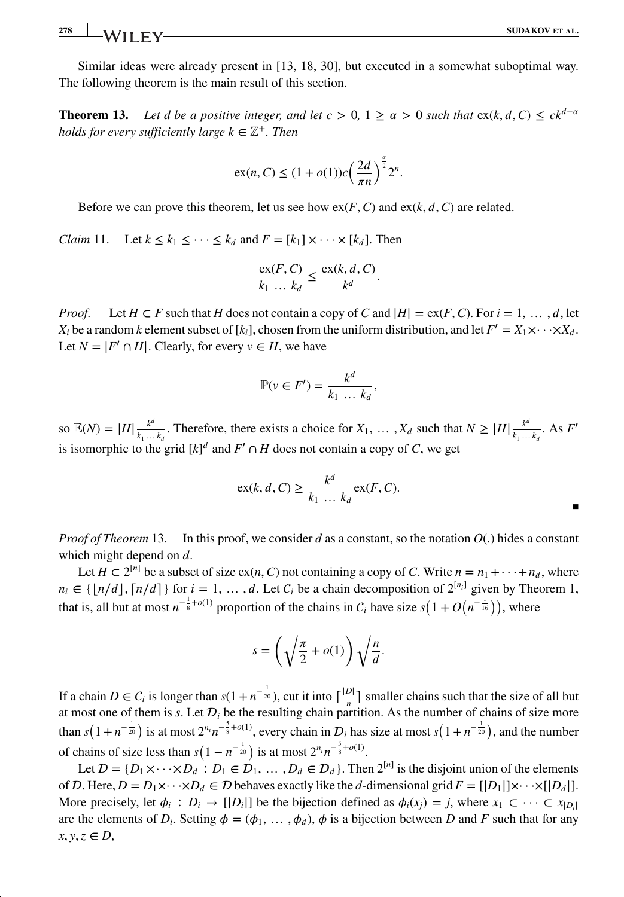### **278 SUDAKOV** ET AL.

Similar ideas were already present in [13, 18, 30], but executed in a somewhat suboptimal way. The following theorem is the main result of this section.

**Theorem 13.** Let d be a positive integer, and let  $c > 0$ ,  $1 \ge \alpha > 0$  such that  $ex(k, d, C) \le ck^{d-\alpha}$ *holds for every sufficiently large k*  $\in \mathbb{Z}^+$ *. Then* 

$$
\operatorname{ex}(n, C) \le (1 + o(1))c\left(\frac{2d}{\pi n}\right)^{\frac{\alpha}{2}} 2^n.
$$

Before we can prove this theorem, let us see how  $ex(F, C)$  and  $ex(k, d, C)$  are related.

*Claim* 11. Let  $k \leq k_1 \leq \cdots \leq k_d$  and  $F = [k_1] \times \cdots \times [k_d]$ . Then

$$
\frac{\operatorname{ex}(F,C)}{k_1 \dots k_d} \le \frac{\operatorname{ex}(k,d,C)}{k^d}.
$$

*Proof.* Let  $H \subset F$  such that  $H$  does not contain a copy of  $C$  and  $|H| = \text{ex}(F, C)$ . For  $i = 1, \ldots, d$ , let  $X_i$  be a random *k* element subset of [ $k_i$ ], chosen from the uniform distribution, and let  $F' = X_1 \times \cdots \times X_d$ . Let  $N = |F' \cap H|$ . Clearly, for every  $v \in H$ , we have

$$
\mathbb{P}(v \in F') = \frac{k^d}{k_1 \dots k_d},
$$

so  $\mathbb{E}(N) = |H| \frac{k^d}{k_1 \dots k_d}$ . Therefore, there exists a choice for  $X_1, \dots, X_d$  such that  $N \geq |H| \frac{k^d}{k_1 \dots k_d}$ . As  $F'$ is isomorphic to the grid  $[k]^d$  and  $F' \cap H$  does not contain a copy of *C*, we get

$$
\operatorname{ex}(k, d, C) \ge \frac{k^d}{k_1 \dots k_d} \operatorname{ex}(F, C).
$$

*Proof of Theorem* 13. In this proof, we consider *d* as a constant, so the notation  $O(.)$  hides a constant which might depend on *d*.

Let *H* ⊂ 2<sup>[*n*]</sup> be a subset of size ex(*n*, *C*) not containing a copy of *C*. Write  $n = n_1 + \cdots + n_d$ , where  $n_i \in \{ [n/d], [n/d] \}$  for  $i = 1, \ldots, d$ . Let  $C_i$  be a chain decomposition of  $2^{[n_i]}$  given by Theorem 1, that is, all but at most  $n^{-\frac{1}{8} + o(1)}$  proportion of the chains in  $C_i$  have size  $s(1 + O(n^{-\frac{1}{16}}))$ , where

$$
s = \left(\sqrt{\frac{\pi}{2}} + o(1)\right)\sqrt{\frac{n}{d}}.
$$

If a chain  $D \in C_i$  is longer than  $s(1 + n^{-\frac{1}{20}})$ , cut it into  $\lceil \frac{|D|}{n} \rceil$  smaller chains such that the size of all but at most one of them is *s*. Let  $D_i$  be the resulting chain partition. As the number of chains of size more than  $s(1+n^{-\frac{1}{20}})$  is at most  $2^{n_i}n^{-\frac{5}{8}+o(1)}$ , every chain in  $\mathcal{D}_i$  has size at most  $s(1+n^{-\frac{1}{20}})$ , and the number of chains of size less than  $s(1 - n^{-\frac{1}{20}})$  is at most  $2^{n_i}n^{-\frac{5}{8} + o(1)}$ .

Let  $D = \{D_1 \times \cdots \times D_d : D_1 \in D_1, \ldots, D_d \in D_d\}$ . Then  $2^{[n]}$  is the disjoint union of the elements of D. Here,  $D = D_1 \times \cdots \times D_d \in D$  behaves exactly like the *d*-dimensional grid  $F = [[D_1]] \times \cdots \times [[D_d]]$ . More precisely, let  $\phi_i$ :  $D_i \rightarrow [D_i]$  be the bijection defined as  $\phi_i(x_i) = j$ , where  $x_1 \subset \cdots \subset x_{|D_i|}$ are the elements of  $D_i$ . Setting  $\phi = (\phi_1, \dots, \phi_d)$ ,  $\phi$  is a bijection between *D* and *F* such that for any  $x, y, z \in D$ ,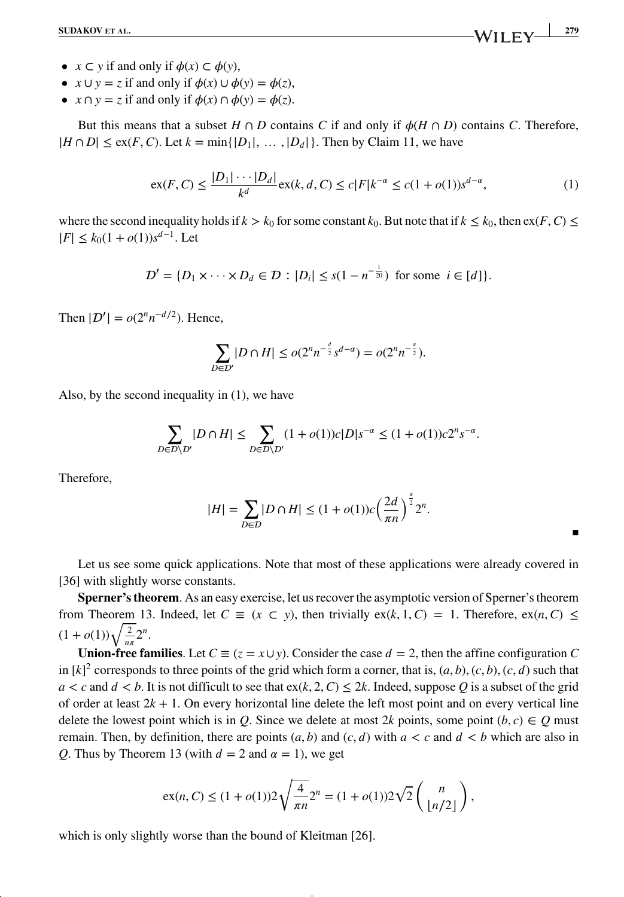- $x \subset y$  if and only if  $\phi(x) \subset \phi(y)$ ,
- $x \cup y = z$  if and only if  $\phi(x) \cup \phi(y) = \phi(z)$ ,
- $x \cap y = z$  if and only if  $\phi(x) \cap \phi(y) = \phi(z)$ .

But this means that a subset  $H \cap D$  contains *C* if and only if  $\phi(H \cap D)$  contains *C*. Therefore,  $|H \cap D| \leq \text{ex}(F, C)$ . Let  $k = \min\{|D_1|, \ldots, |D_d|\}$ . Then by Claim 11, we have

$$
\operatorname{ex}(F, C) \le \frac{|D_1| \cdots |D_d|}{k^d} \operatorname{ex}(k, d, C) \le c |F| k^{-\alpha} \le c(1 + o(1)) s^{d - \alpha},\tag{1}
$$

where the second inequality holds if  $k > k_0$  for some constant  $k_0$ . But note that if  $k \leq k_0$ , then  $\exp(F, C) \leq$  $|F|$  ≤  $k_0(1+o(1))s^{d-1}$ . Let

$$
D' = \{D_1 \times \cdots \times D_d \in D : |D_i| \le s(1 - n^{-\frac{1}{20}}) \text{ for some } i \in [d]\}.
$$

Then  $|\mathcal{D}'| = o(2^n n^{-d/2})$ . Hence,

$$
\sum_{D \in \mathcal{D}'} |D \cap H| \le o(2^n n^{-\frac{d}{2}} s^{d-\alpha}) = o(2^n n^{-\frac{\alpha}{2}}).
$$

Also, by the second inequality in (1), we have

$$
\sum_{D\in\mathcal{D}\backslash\mathcal{D}'}|D\cap H|\leq \sum_{D\in\mathcal{D}\backslash\mathcal{D}'}(1+o(1))c|D|s^{-\alpha}\leq (1+o(1))c2^ns^{-\alpha}.
$$

Therefore,

$$
|H| = \sum_{D \in \mathcal{D}} |D \cap H| \le (1 + o(1))c\left(\frac{2d}{\pi n}\right)^{\frac{\alpha}{2}} 2^n.
$$

Let us see some quick applications. Note that most of these applications were already covered in [36] with slightly worse constants.

**Sperner's theorem**. As an easy exercise, let us recover the asymptotic version of Sperner's theorem from Theorem 13. Indeed, let  $C \equiv (x \subset y)$ , then trivially  $ex(k, 1, C) = 1$ . Therefore,  $ex(n, C) \le$  $(1 + o(1))\sqrt{\frac{2}{n\pi}}2^n$ .

**Union-free families**. Let  $C \equiv (z = x \cup y)$ . Consider the case  $d = 2$ , then the affine configuration *C* in  $[k]^2$  corresponds to three points of the grid which form a corner, that is,  $(a, b)$ ,  $(c, b)$ ,  $(c, d)$  such that  $a < c$  and  $d < b$ . It is not difficult to see that  $ex(k, 2, C) \leq 2k$ . Indeed, suppose *Q* is a subset of the grid of order at least  $2k + 1$ . On every horizontal line delete the left most point and on every vertical line delete the lowest point which is in *Q*. Since we delete at most 2*k* points, some point  $(b, c) \in Q$  must remain. Then, by definition, there are points  $(a, b)$  and  $(c, d)$  with  $a < c$  and  $d < b$  which are also in *Q*. Thus by Theorem 13 (with  $d = 2$  and  $\alpha = 1$ ), we get

$$
ex(n, C) \le (1 + o(1))2\sqrt{\frac{4}{\pi n}}2^{n} = (1 + o(1))2\sqrt{2}\left(\frac{n}{\lfloor n/2 \rfloor}\right),
$$

which is only slightly worse than the bound of Kleitman [26].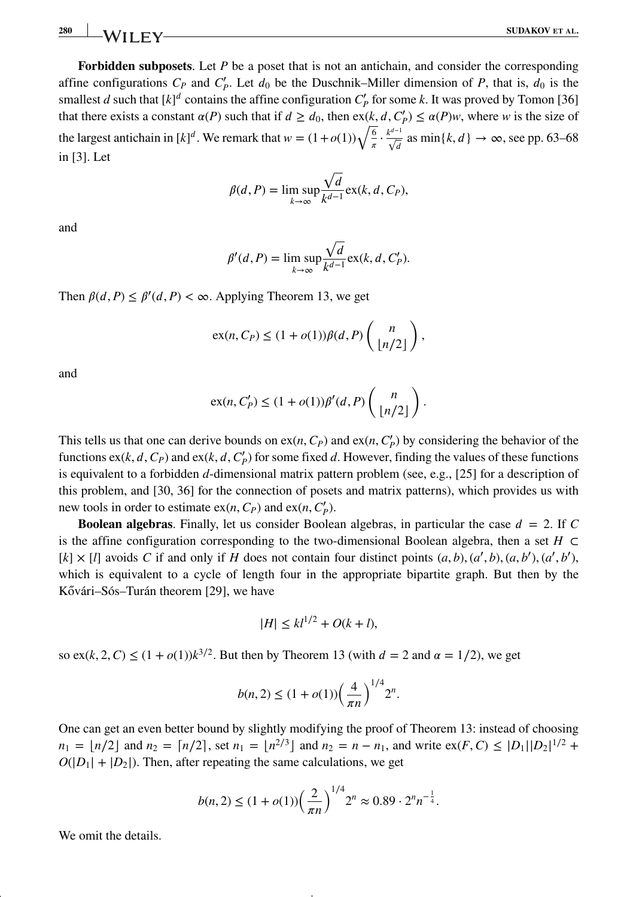**280 SUDAKOV** ET AL.

**Forbidden subposets**. Let *P* be a poset that is not an antichain, and consider the corresponding affine configurations  $C_P$  and  $C'_P$ . Let  $d_0$  be the Duschnik–Miller dimension of  $P$ , that is,  $d_0$  is the smallest *d* such that  $[k]^d$  contains the affine configuration  $C'_p$  for some *k*. It was proved by Tomon [36] that there exists a constant  $\alpha(P)$  such that if  $d \geq d_0$ , then  $ex(k, d, C'_p) \leq \alpha(P)w$ , where *w* is the size of the largest antichain in  $[k]^d$ . We remark that  $w = (1 + o(1))\sqrt{\frac{6}{\pi}} \cdot \frac{k^{d-1}}{\sqrt{d}}$  as  $\min\{k, d\} \to \infty$ , see pp. 63–68 in [3]. Let

$$
\beta(d, P) = \limsup_{k \to \infty} \frac{\sqrt{d}}{k^{d-1}} \exp(k, d, C_P),
$$

and

$$
\beta'(d, P) = \limsup_{k \to \infty} \frac{\sqrt{d}}{k^{d-1}} \exp(k, d, C_P').
$$

Then  $\beta(d, P) \leq \beta'(d, P) < \infty$ . Applying Theorem 13, we get

$$
\mathrm{ex}(n, C_P) \le (1 + o(1))\beta(d, P)\left(\frac{n}{\lfloor n/2 \rfloor}\right),
$$

and

$$
ex(n, C'_P) \le (1 + o(1))\beta'(d, P)\binom{n}{\lfloor n/2 \rfloor}.
$$

This tells us that one can derive bounds on  $ex(n, C_P)$  and  $ex(n, C'_P)$  by considering the behavior of the functions  $ex(k, d, C_P)$  and  $ex(k, d, C'_P)$  for some fixed *d*. However, finding the values of these functions is equivalent to a forbidden *d*-dimensional matrix pattern problem (see, e.g., [25] for a description of this problem, and [30, 36] for the connection of posets and matrix patterns), which provides us with new tools in order to estimate  $ex(n, C_P)$  and  $ex(n, C'_P)$ .

**Boolean algebras.** Finally, let us consider Boolean algebras, in particular the case  $d = 2$ . If C is the affine configuration corresponding to the two-dimensional Boolean algebra, then a set  $H \subset$ [k]  $\times$  [l] avoids C if and only if H does not contain four distinct points  $(a, b), (a', b), (a, b'), (a', b')$ , which is equivalent to a cycle of length four in the appropriate bipartite graph. But then by the Kővári–Sós–Turán theorem [29], we have

$$
|H| \le kl^{1/2} + O(k+l),
$$

so ex(*k*, 2, *C*)  $\leq$  (1 + *o*(1))*k*<sup>3/2</sup>. But then by Theorem 13 (with  $d = 2$  and  $\alpha = 1/2$ ), we get

$$
b(n, 2) \le (1 + o(1)) \left(\frac{4}{\pi n}\right)^{1/4} 2^n.
$$

One can get an even better bound by slightly modifying the proof of Theorem 13: instead of choosing  $n_1 = \lfloor n/2 \rfloor$  and  $n_2 = \lceil n/2 \rceil$ , set  $n_1 = \lfloor n^{2/3} \rfloor$  and  $n_2 = n - n_1$ , and write  $\exp(F, C) \le |D_1||D_2|^{1/2} +$  $O(|D_1| + |D_2|)$ . Then, after repeating the same calculations, we get

$$
b(n,2) \le (1+o(1))\left(\frac{2}{\pi n}\right)^{1/4} 2^n \approx 0.89 \cdot 2^n n^{-\frac{1}{4}}.
$$

We omit the details.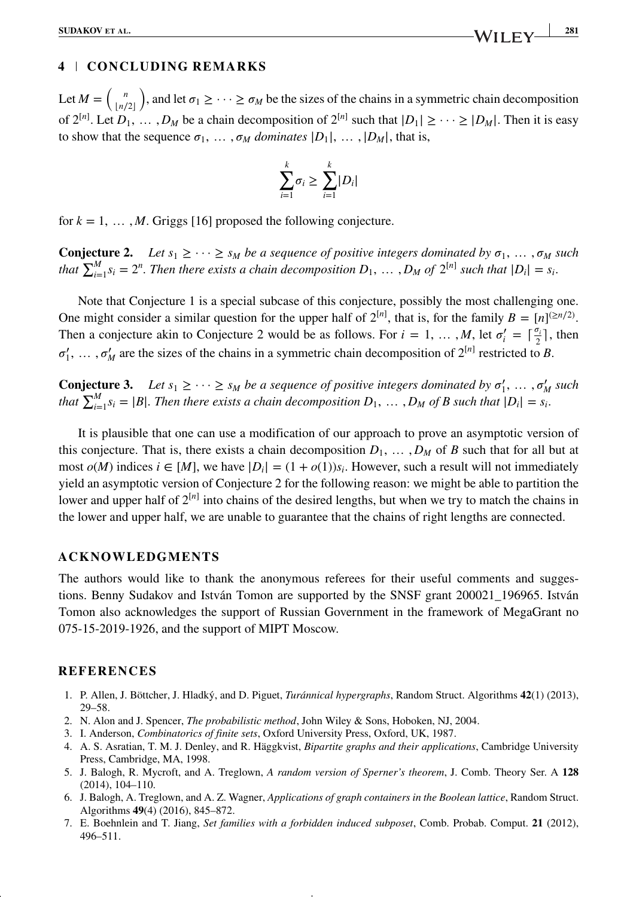### **4 CONCLUDING REMARKS**

Let  $M = \binom{n}{\lfloor n/2 \rfloor}$ , and let  $\sigma_1 \geq \cdots \geq \sigma_M$  be the sizes of the chains in a symmetric chain decomposition of  $2^{[n]}$ . Let  $D_1, \ldots, D_M$  be a chain decomposition of  $2^{[n]}$  such that  $|D_1| \geq \cdots \geq |D_M|$ . Then it is easy to show that the sequence  $\sigma_1, \ldots, \sigma_M$  *dominates*  $|D_1|, \ldots, |D_M|$ , that is,

$$
\sum_{i=1}^k \sigma_i \geq \sum_{i=1}^k |D_i|
$$

for  $k = 1, \ldots, M$ . Griggs [16] proposed the following conjecture.

**Conjecture 2.** Let  $s_1 \geq \cdots \geq s_M$  be a sequence of positive integers dominated by  $\sigma_1, \ldots, \sigma_M$  such *that*  $\sum_{i=1}^{M} s_i = 2^n$ . Then there exists a chain decomposition  $D_1, \ldots, D_M$  of  $2^{[n]}$  such that  $|D_i| = s_i$ .

Note that Conjecture 1 is a special subcase of this conjecture, possibly the most challenging one. One might consider a similar question for the upper half of  $2^{[n]}$ , that is, for the family  $B = [n]^{(\ge n/2)}$ . Then a conjecture akin to Conjecture 2 would be as follows. For  $i = 1, ..., M$ , let  $\sigma'_i = \lceil \frac{\sigma_i}{2} \rceil$ , then  $\sigma'_1$ , ...,  $\sigma'_M$  are the sizes of the chains in a symmetric chain decomposition of  $2^{[n]}$  restricted to *B*.

**Conjecture 3.** Let  $s_1 \geq \cdots \geq s_M$  be a sequence of positive integers dominated by  $\sigma'_1, \ldots, \sigma'_M$  such *that*  $\sum_{i=1}^{M} s_i = |B|$ *. Then there exists a chain decomposition*  $D_1, \ldots, D_M$  *of B such that*  $|D_i| = s_i$ *.* 

It is plausible that one can use a modification of our approach to prove an asymptotic version of this conjecture. That is, there exists a chain decomposition  $D_1, \ldots, D_M$  of *B* such that for all but at most  $o(M)$  indices  $i \in [M]$ , we have  $|D_i| = (1 + o(1))s_i$ . However, such a result will not immediately yield an asymptotic version of Conjecture 2 for the following reason: we might be able to partition the lower and upper half of  $2^{[n]}$  into chains of the desired lengths, but when we try to match the chains in the lower and upper half, we are unable to guarantee that the chains of right lengths are connected.

### **ACKNOWLEDGMENTS**

The authors would like to thank the anonymous referees for their useful comments and suggestions. Benny Sudakov and István Tomon are supported by the SNSF grant 200021\_196965. István Tomon also acknowledges the support of Russian Government in the framework of MegaGrant no 075-15-2019-1926, and the support of MIPT Moscow.

### **REFERENCES**

- 1. P. Allen, J. Böttcher, J. Hladký, and D. Piguet, *Turánnical hypergraphs*, Random Struct. Algorithms **42**(1) (2013), 29–58.
- 2. N. Alon and J. Spencer, *The probabilistic method*, John Wiley & Sons, Hoboken, NJ, 2004.
- 3. I. Anderson, *Combinatorics of finite sets*, Oxford University Press, Oxford, UK, 1987.
- 4. A. S. Asratian, T. M. J. Denley, and R. Häggkvist, *Bipartite graphs and their applications*, Cambridge University Press, Cambridge, MA, 1998.
- 5. J. Balogh, R. Mycroft, and A. Treglown, *A random version of Sperner's theorem*, J. Comb. Theory Ser. A **128** (2014), 104–110.
- 6. J. Balogh, A. Treglown, and A. Z. Wagner, *Applications of graph containers in the Boolean lattice*, Random Struct. Algorithms **49**(4) (2016), 845–872.
- 7. E. Boehnlein and T. Jiang, *Set families with a forbidden induced subposet*, Comb. Probab. Comput. **21** (2012), 496–511.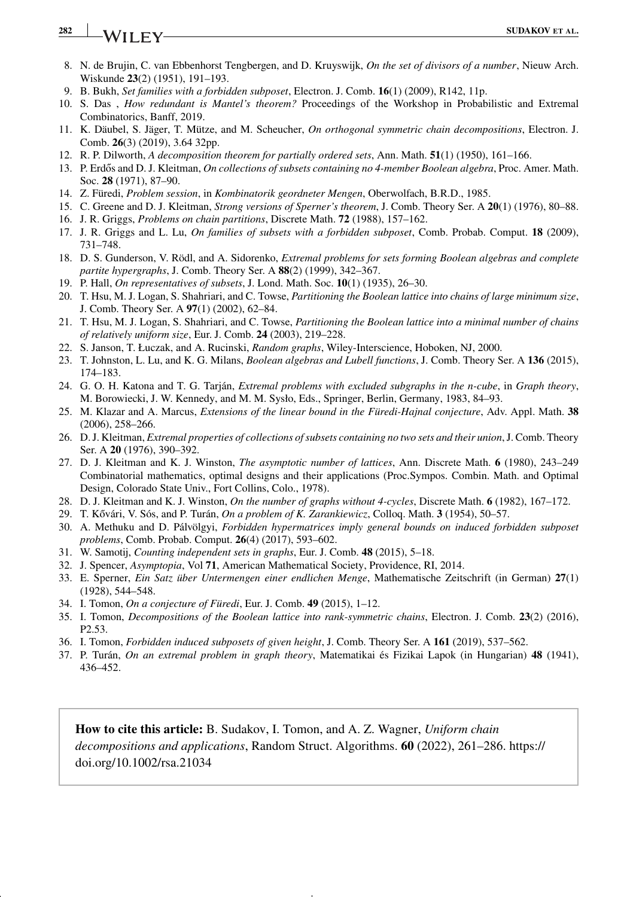## **282 IVA**/II EV

- 8. N. de Brujin, C. van Ebbenhorst Tengbergen, and D. Kruyswijk, *On the set of divisors of a number*, Nieuw Arch. Wiskunde **23**(2) (1951), 191–193.
- 9. B. Bukh, *Set families with a forbidden subposet*, Electron. J. Comb. **16**(1) (2009), R142, 11p.
- 10. S. Das , *How redundant is Mantel's theorem?* Proceedings of the Workshop in Probabilistic and Extremal Combinatorics, Banff, 2019.
- 11. K. Däubel, S. Jäger, T. Mütze, and M. Scheucher, *On orthogonal symmetric chain decompositions*, Electron. J. Comb. **26**(3) (2019), 3.64 32pp.
- 12. R. P. Dilworth, *A decomposition theorem for partially ordered sets*, Ann. Math. **51**(1) (1950), 161–166.
- 13. P. Erdős and D. J. Kleitman, *On collections of subsets containing no 4-member Boolean algebra*, Proc. Amer. Math. Soc. **28** (1971), 87–90.
- 14. Z. Füredi, *Problem session*, in *Kombinatorik geordneter Mengen*, Oberwolfach, B.R.D., 1985.
- 15. C. Greene and D. J. Kleitman, *Strong versions of Sperner's theorem*, J. Comb. Theory Ser. A **20**(1) (1976), 80–88.
- 16. J. R. Griggs, *Problems on chain partitions*, Discrete Math. **72** (1988), 157–162.
- 17. J. R. Griggs and L. Lu, *On families of subsets with a forbidden subposet*, Comb. Probab. Comput. **18** (2009), 731–748.
- 18. D. S. Gunderson, V. Rödl, and A. Sidorenko, *Extremal problems for sets forming Boolean algebras and complete partite hypergraphs*, J. Comb. Theory Ser. A **88**(2) (1999), 342–367.
- 19. P. Hall, *On representatives of subsets*, J. Lond. Math. Soc. **10**(1) (1935), 26–30.
- 20. T. Hsu, M. J. Logan, S. Shahriari, and C. Towse, *Partitioning the Boolean lattice into chains of large minimum size*, J. Comb. Theory Ser. A **97**(1) (2002), 62–84.
- 21. T. Hsu, M. J. Logan, S. Shahriari, and C. Towse, *Partitioning the Boolean lattice into a minimal number of chains of relatively uniform size*, Eur. J. Comb. **24** (2003), 219–228.
- 22. S. Janson, T. Łuczak, and A. Rucinski, *Random graphs*, Wiley-Interscience, Hoboken, NJ, 2000.
- 23. T. Johnston, L. Lu, and K. G. Milans, *Boolean algebras and Lubell functions*, J. Comb. Theory Ser. A **136** (2015), 174–183.
- 24. G. O. H. Katona and T. G. Tarján, *Extremal problems with excluded subgraphs in the n-cube*, in *Graph theory*, M. Borowiecki, J. W. Kennedy, and M. M. Sysło, Eds., Springer, Berlin, Germany, 1983, 84–93.
- 25. M. Klazar and A. Marcus, *Extensions of the linear bound in the Füredi-Hajnal conjecture*, Adv. Appl. Math. **38** (2006), 258–266.
- 26. D. J. Kleitman, *Extremal properties of collections of subsets containing no two sets and their union*, J. Comb. Theory Ser. A **20** (1976), 390–392.
- 27. D. J. Kleitman and K. J. Winston, *The asymptotic number of lattices*, Ann. Discrete Math. **6** (1980), 243–249 Combinatorial mathematics, optimal designs and their applications (Proc.Sympos. Combin. Math. and Optimal Design, Colorado State Univ., Fort Collins, Colo., 1978).
- 28. D. J. Kleitman and K. J. Winston, *On the number of graphs without 4-cycles*, Discrete Math. **6** (1982), 167–172.
- 29. T. Kővári, V. Sós, and P. Turán, *On a problem of K. Zarankiewicz*, Colloq. Math. 3 (1954), 50–57.
- 30. A. Methuku and D. Pálvölgyi, *Forbidden hypermatrices imply general bounds on induced forbidden subposet problems*, Comb. Probab. Comput. **26**(4) (2017), 593–602.
- 31. W. Samotij, *Counting independent sets in graphs*, Eur. J. Comb. **48** (2015), 5–18.
- 32. J. Spencer, *Asymptopia*, Vol **71**, American Mathematical Society, Providence, RI, 2014.
- 33. E. Sperner, *Ein Satz über Untermengen einer endlichen Menge*, Mathematische Zeitschrift (in German) **27**(1) (1928), 544–548.
- 34. I. Tomon, *On a conjecture of Füredi*, Eur. J. Comb. **49** (2015), 1–12.
- 35. I. Tomon, *Decompositions of the Boolean lattice into rank-symmetric chains*, Electron. J. Comb. **23**(2) (2016), P2.53.
- 36. I. Tomon, *Forbidden induced subposets of given height*, J. Comb. Theory Ser. A **161** (2019), 537–562.
- 37. P. Turán, *On an extremal problem in graph theory*, Matematikai és Fizikai Lapok (in Hungarian) **48** (1941), 436–452.

**How to cite this article:** B. Sudakov, I. Tomon, and A. Z. Wagner, *Uniform chain decompositions and applications*, Random Struct. Algorithms. **60** (2022), 261–286. [https://](https://doi.org/10.1002/rsa.21034) [doi.org/10.1002/rsa.21034](https://doi.org/10.1002/rsa.21034)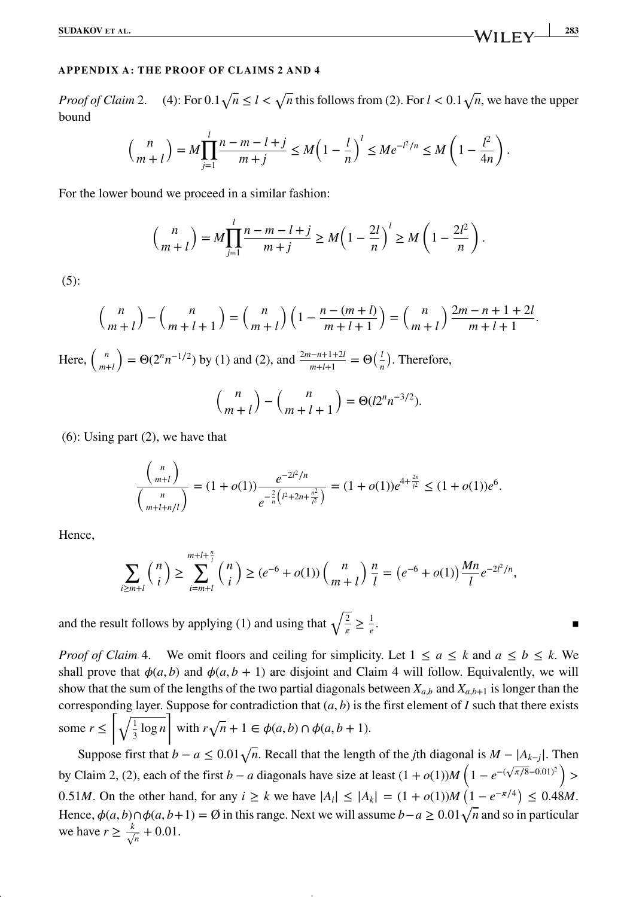### **APPENDIX A: THE PROOF OF CLAIMS 2 AND 4**

*Proof of Claim* 2. (4): For  $0.1\sqrt{n} \le l < \sqrt{n}$  this follows from (2). For  $l < 0.1\sqrt{n}$ , we have the upper bound

$$
\binom{n}{m+l} = M \prod_{j=1}^l \frac{n-m-l+j}{m+j} \le M \left(1 - \frac{l}{n}\right)^l \le Me^{-l^2/n} \le M \left(1 - \frac{l^2}{4n}\right).
$$

For the lower bound we proceed in a similar fashion:

$$
\binom{n}{m+l} = M \prod_{j=1}^l \frac{n-m-l+j}{m+j} \ge M \left(1 - \frac{2l}{n}\right)^l \ge M \left(1 - \frac{2l^2}{n}\right).
$$

(5):

$$
\binom{n}{m+l} - \binom{n}{m+l+1} = \binom{n}{m+l} \left(1 - \frac{n - (m+l)}{m+l+1}\right) = \binom{n}{m+l} \frac{2m - n + 1 + 2l}{m+l+1}.
$$

Here,  $\binom{n}{m+l}$  $= Θ(2<sup>n</sup>n<sup>-1/2</sup>)$  by (1) and (2), and  $\frac{2m-n+1+2l}{m+l+1} = Θ(\frac{l}{n})$ . Therefore,

$$
\binom{n}{m+l} - \binom{n}{m+l+1} = \Theta(l2^n n^{-3/2}).
$$

(6): Using part (2), we have that

$$
\frac{{\binom{n}{m+l}}}{\binom{n}{m+l+n/l}} = (1+o(1))\frac{e^{-2l^2/n}}{e^{-\frac{2}{n}\left(l^2+2n+\frac{n^2}{l^2}\right)}} = (1+o(1))e^{4+\frac{2n}{l^2}} \le (1+o(1))e^6.
$$

Hence,

$$
\sum_{i \ge m+l} \binom{n}{i} \ge \sum_{i=m+l}^{m+l+\frac{n}{l}} \binom{n}{i} \ge (e^{-6} + o(1)) \binom{n}{m+l} \frac{n}{l} = (e^{-6} + o(1)) \frac{Mn}{l} e^{-2l^2/n},
$$

and the result follows by applying (1) and using that  $\sqrt{\frac{2}{\pi}} \geq \frac{1}{e}$ . ▪

*Proof of Claim* 4. We omit floors and ceiling for simplicity. Let  $1 \le a \le k$  and  $a \le b \le k$ . We shall prove that  $\phi(a, b)$  and  $\phi(a, b + 1)$  are disjoint and Claim 4 will follow. Equivalently, we will show that the sum of the lengths of the two partial diagonals between  $X_{a,b}$  and  $X_{a,b+1}$  is longer than the corresponding layer. Suppose for contradiction that  $(a, b)$  is the first element of  $I$  such that there exists some  $r \leq \left[\sqrt{\frac{1}{2}}\right]$  $\frac{1}{3}$  log *n* ⌉ with  $r\sqrt{n} + 1 \in \phi(a, b) \cap \phi(a, b + 1)$ .

Suppose first that  $b - a \leq 0.01\sqrt{n}$ . Recall that the length of the *j*th diagonal is  $M - |A_{k-j}|$ . Then by Claim 2, (2), each of the first *b* − *a* diagonals have size at least  $(1 + o(1))M(1 - e^{-(\sqrt{\pi/8} - 0.01)^2})$  > 0*.51M*. On the other hand, for any  $i \ge k$  we have  $|A_i| \le |A_k| = (1 + o(1))M(1 - e^{-\pi/4}) \le 0.48M$ . Hence,  $\phi(a, b) \cap \phi(a, b+1) = \emptyset$  in this range. Next we will assume  $b-a \geq 0.01\sqrt{n}$  and so in particular we have  $r \geq \frac{k}{\sqrt{n}} + 0.01$ .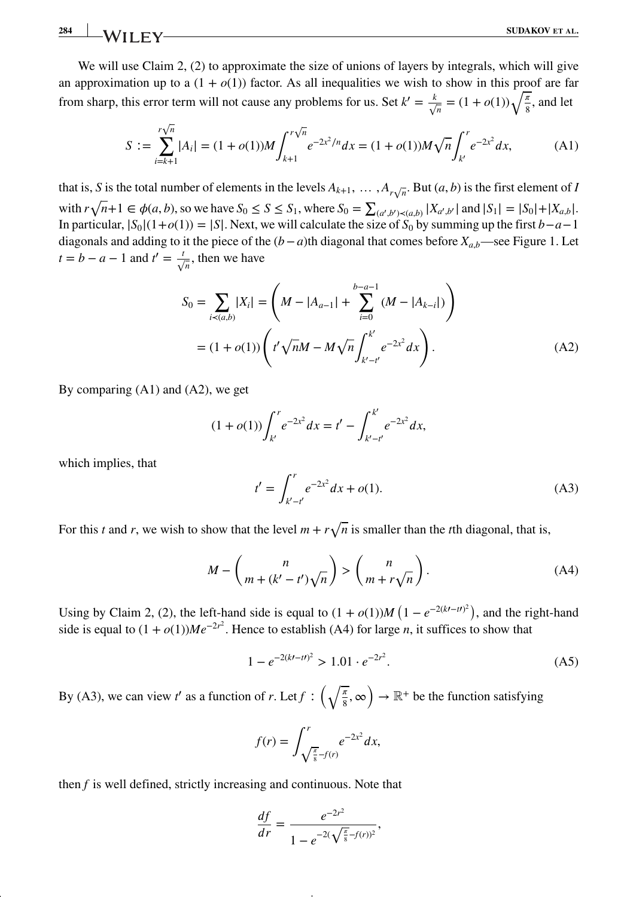We will use Claim 2, (2) to approximate the size of unions of layers by integrals, which will give an approximation up to a  $(1 + o(1))$  factor. As all inequalities we wish to show in this proof are far from sharp, this error term will not cause any problems for us. Set  $k' = \frac{k}{\sqrt{n}} = (1 + o(1))\sqrt{\frac{\pi}{8}}$ , and let

$$
S := \sum_{i=k+1}^{r\sqrt{n}} |A_i| = (1+o(1))M \int_{k+1}^{r\sqrt{n}} e^{-2x^2/n} dx = (1+o(1))M\sqrt{n} \int_{k'}^{r} e^{-2x^2} dx,
$$
 (A1)

that is, *S* is the total number of elements in the levels  $A_{k+1}, \ldots, A_{r\sqrt{n}}$ . But  $(a, b)$  is the first element of *I* with  $r\sqrt{n+1} \in \phi(a, b)$ , so we have  $S_0 \le S \le S_1$ , where  $S_0 = \sum_{(a', b') \prec (a, b)} |X_{a', b'}|$  and  $|S_1| = |S_0| + |X_{a, b}|$ . In particular,  $|S_0|(1+o(1)) = |S|$ . Next, we will calculate the size of  $S_0$  by summing up the first *b*−*a*−1 diagonals and adding to it the piece of the (*b*−*a*)th diagonal that comes before *Xa,b*—see Figure 1. Let  $t = b - a - 1$  and  $t' = \frac{t}{\sqrt{n}}$ , then we have

$$
S_0 = \sum_{i \prec (a,b)} |X_i| = \left( M - |A_{a-1}| + \sum_{i=0}^{b-a-1} (M - |A_{k-i}|) \right)
$$
  
=  $(1 + o(1)) \left( t' \sqrt{n}M - M \sqrt{n} \int_{k'-t'}^{k'} e^{-2x^2} dx \right).$  (A2)

By comparing (A1) and (A2), we get

$$
(1+o(1))\int_{k'}^{r}e^{-2x^{2}}dx = t' - \int_{k'-t'}^{k'}e^{-2x^{2}}dx,
$$

which implies, that

$$
t' = \int_{k'-t'}^{r} e^{-2x^2} dx + o(1).
$$
 (A3)

For this *t* and *r*, we wish to show that the level  $m + r\sqrt{n}$  is smaller than the *t*th diagonal, that is,

$$
M - \binom{n}{m + (k' - t')\sqrt{n}} > \binom{n}{m + r\sqrt{n}}.
$$
 (A4)

Using by Claim 2, (2), the left-hand side is equal to  $(1 + o(1))M(1 - e^{-2(kt - t)^2})$ , and the right-hand side is equal to  $(1 + o(1))Me^{-2r^2}$ . Hence to establish (A4) for large *n*, it suffices to show that

$$
1 - e^{-2(kt - t t)^2} > 1.01 \cdot e^{-2t^2}.
$$
 (A5)

By (A3), we can view *t*' as a function of *r*. Let  $f: \left(\sqrt{\frac{\pi}{8}}, \infty\right) \to \mathbb{R}^+$  be the function satisfying

$$
f(r) = \int_{\sqrt{\frac{\pi}{8}} - f(r)}^{r} e^{-2x^2} dx,
$$

then *f* is well defined, strictly increasing and continuous. Note that

$$
\frac{df}{dr} = \frac{e^{-2r^2}}{1 - e^{-2(\sqrt{\frac{\pi}{8}} - f(r))^2}},
$$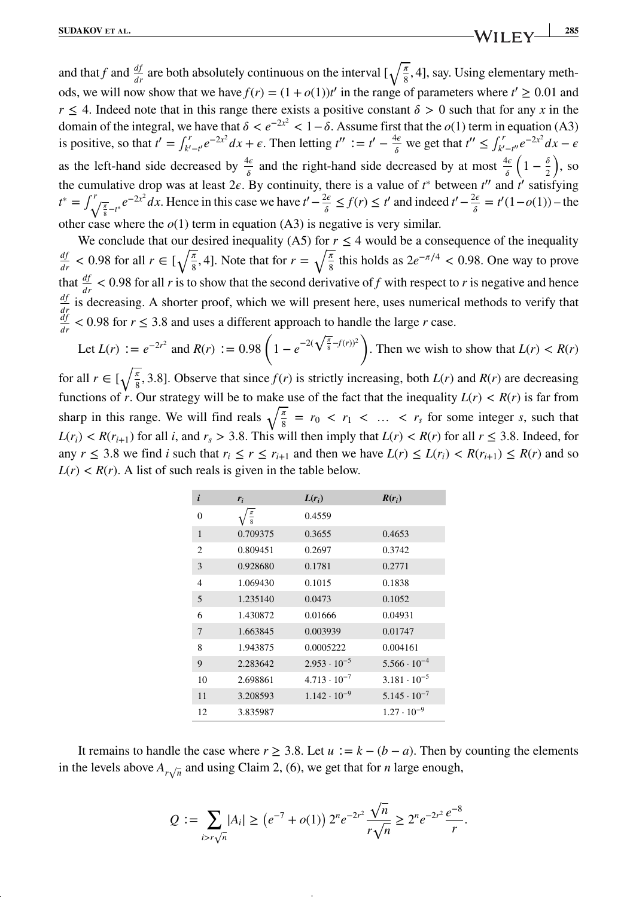and that *f* and  $\frac{df}{dr}$  are both absolutely continuous on the interval  $\left[\sqrt{\frac{\pi}{8}}, 4\right]$ , say. Using elementary methods, we will now show that we have  $f(r) = (1 + o(1))t'$  in the range of parameters where  $t' \ge 0.01$  and *r*  $\leq$  4. Indeed note that in this range there exists a positive constant  $\delta$  > 0 such that for any *x* in the domain of the integral, we have that  $\delta < e^{-2x^2} < 1 - \delta$ . Assume first that the  $o(1)$  term in equation (A3) is positive, so that  $t' = \int_{k'-t'}^{r} e^{-2x^2} dx + \epsilon$ . Then letting  $t'' := t' - \frac{4\epsilon}{\delta}$  we get that  $t'' \le \int_{k'-t''}^{r} e^{-2x^2} dx - \epsilon$ as the left-hand side decreased by  $\frac{4\epsilon}{\delta}$  and the right-hand side decreased by at most  $\frac{4\epsilon}{\delta} \left(1 - \frac{\delta}{2}\right)$ , so the cumulative drop was at least  $2\epsilon$ . By continuity, there is a value of *t*<sup>∗</sup> between *t''* and *t'* satisfying  $t^* = \int_{\sqrt{\frac{x}{8}} - t^*}^r e^{-2x^2} dx$ . Hence in this case we have  $t' - \frac{2\epsilon}{\delta} \le f(r) \le t'$  and indeed  $t' - \frac{2\epsilon}{\delta} = t'(1 - o(1))$  – the other case where the  $o(1)$  term in equation (A3) is negative is very similar.

We conclude that our desired inequality (A5) for  $r < 4$  would be a consequence of the inequality  $\frac{df}{dr}$  < 0.98 for all  $r \in \left[\sqrt{\frac{\pi}{8}}, 4\right]$ . Note that for  $r = \sqrt{\frac{\pi}{8}}$  this holds as  $2e^{-\pi/4}$  < 0.98. One way to prove that  $\frac{df}{dr}$  < 0.98 for all *r* is to show that the second derivative of *f* with respect to *r* is negative and hence  $\frac{df}{dr}$  is decreasing. A shorter proof, which we will present here, uses numerical methods to verify that  $\frac{df}{dr}$  < 0.98 for  $r \le 3.8$  and uses a different approach to handle the large r case.

Let  $L(r) := e^{-2r^2}$  and  $R(r) := 0.98 \left( 1 - e^{-2(\sqrt{\frac{\pi}{8}} - f(r))^2} \right)$ . Then we wish to show that  $L(r) < R(r)$ for all  $r \in \left[\sqrt{\frac{\pi}{8}}, 3.8\right]$ . Observe that since  $f(r)$  is strictly increasing, both  $L(r)$  and  $R(r)$  are decreasing functions of *r*. Our strategy will be to make use of the fact that the inequality  $L(r) < R(r)$  is far from sharp in this range. We will find reals  $\sqrt{\frac{\pi}{8}} = r_0 < r_1 < ... < r_s$  for some integer *s*, such that  $L(r_i) < R(r_{i+1})$  for all *i*, and  $r_s > 3.8$ . This will then imply that  $L(r) < R(r)$  for all  $r \leq 3.8$ . Indeed, for any  $r \leq 3.8$  we find *i* such that  $r_i \leq r \leq r_{i+1}$  and then we have  $L(r) \leq L(r_i) < R(r_{i+1}) \leq R(r)$  and so  $L(r) < R(r)$ . A list of such reals is given in the table below.

| i                | $r_i$           | $L(r_i)$              | $R(r_i)$              |
|------------------|-----------------|-----------------------|-----------------------|
| $\boldsymbol{0}$ | $\frac{\pi}{8}$ | 0.4559                |                       |
| 1                | 0.709375        | 0.3655                | 0.4653                |
| 2                | 0.809451        | 0.2697                | 0.3742                |
| 3                | 0.928680        | 0.1781                | 0.2771                |
| $\overline{4}$   | 1.069430        | 0.1015                | 0.1838                |
| 5                | 1.235140        | 0.0473                | 0.1052                |
| 6                | 1.430872        | 0.01666               | 0.04931               |
| 7                | 1.663845        | 0.003939              | 0.01747               |
| 8                | 1.943875        | 0.0005222             | 0.004161              |
| 9                | 2.283642        | $2.953 \cdot 10^{-5}$ | $5.566 \cdot 10^{-4}$ |
| 10               | 2.698861        | $4.713 \cdot 10^{-7}$ | $3.181 \cdot 10^{-5}$ |
| 11               | 3.208593        | $1.142 \cdot 10^{-9}$ | $5.145 \cdot 10^{-7}$ |
| 12               | 3.835987        |                       | $1.27 \cdot 10^{-9}$  |

It remains to handle the case where  $r \geq 3.8$ . Let  $u := k - (b - a)$ . Then by counting the elements in the levels above  $A_{r\sqrt{n}}$  and using Claim 2, (6), we get that for *n* large enough,

$$
Q := \sum_{i > r\sqrt{n}} |A_i| \ge (e^{-7} + o(1)) 2^n e^{-2r^2} \frac{\sqrt{n}}{r\sqrt{n}} \ge 2^n e^{-2r^2} \frac{e^{-8}}{r}.
$$